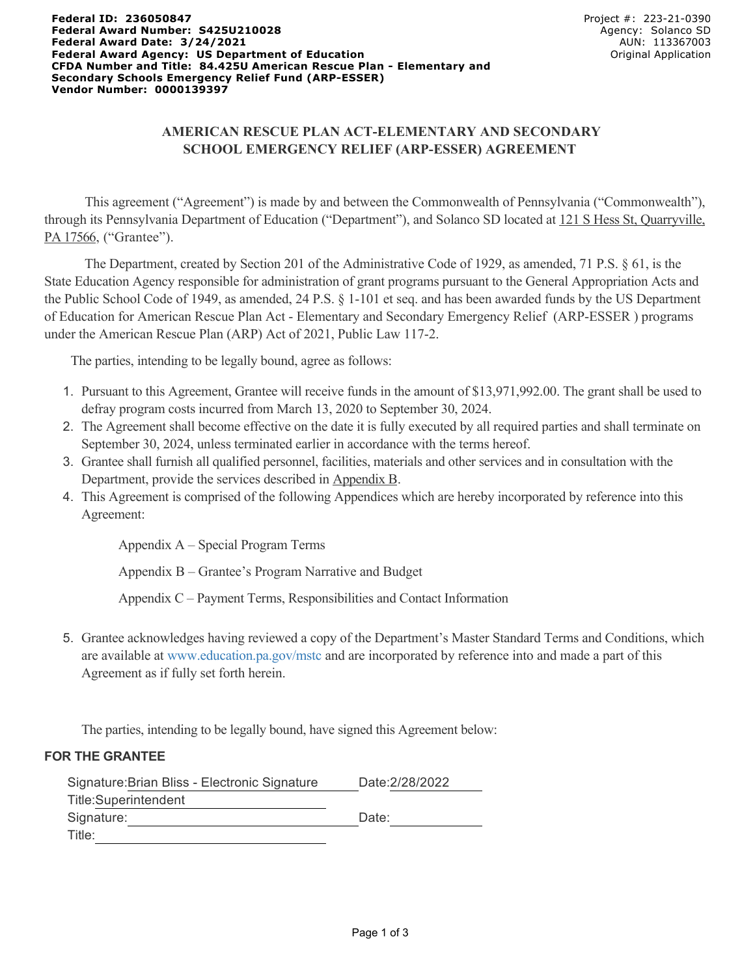## **AMERICAN RESCUE PLAN ACT-ELEMENTARY AND SECONDARY SCHOOL EMERGENCY RELIEF (ARP-ESSER) AGREEMENT**

 This agreement ("Agreement") is made by and between the Commonwealth of Pennsylvania ("Commonwealth"), through its Pennsylvania Department of Education ("Department"), and Solanco SD located at 121 S Hess St, Quarryville, PA 17566, ("Grantee").

 The Department, created by Section 201 of the Administrative Code of 1929, as amended, 71 P.S. § 61, is the State Education Agency responsible for administration of grant programs pursuant to the General Appropriation Acts and the Public School Code of 1949, as amended, 24 P.S. § 1-101 et seq. and has been awarded funds by the US Department of Education for American Rescue Plan Act - Elementary and Secondary Emergency Relief (ARP-ESSER ) programs under the American Rescue Plan (ARP) Act of 2021, Public Law 117-2.

The parties, intending to be legally bound, agree as follows:

- 1. Pursuant to this Agreement, Grantee will receive funds in the amount of \$13,971,992.00. The grant shall be used to defray program costs incurred from March 13, 2020 to September 30, 2024.
- 2. The Agreement shall become effective on the date it is fully executed by all required parties and shall terminate on September 30, 2024, unless terminated earlier in accordance with the terms hereof.
- 3. Grantee shall furnish all qualified personnel, facilities, materials and other services and in consultation with the Department, provide the services described in Appendix B.
- 4. This Agreement is comprised of the following Appendices which are hereby incorporated by reference into this Agreement:

Appendix A – Special Program Terms

Appendix B – Grantee's Program Narrative and Budget

Appendix C – Payment Terms, Responsibilities and Contact Information

5. Grantee acknowledges having reviewed a copy of the Department's Master Standard Terms and Conditions, which are available at [www.education.pa.gov/mstc](http://www.education.pa.gov/mstc) and are incorporated by reference into and made a part of this Agreement as if fully set forth herein.

The parties, intending to be legally bound, have signed this Agreement below:

### **FOR THE GRANTEE**

| Signature: Brian Bliss - Electronic Signature | Date: 2/28/2022 |
|-----------------------------------------------|-----------------|
| Title:Superintendent                          |                 |
| Signature:                                    | Date:           |
| Title:                                        |                 |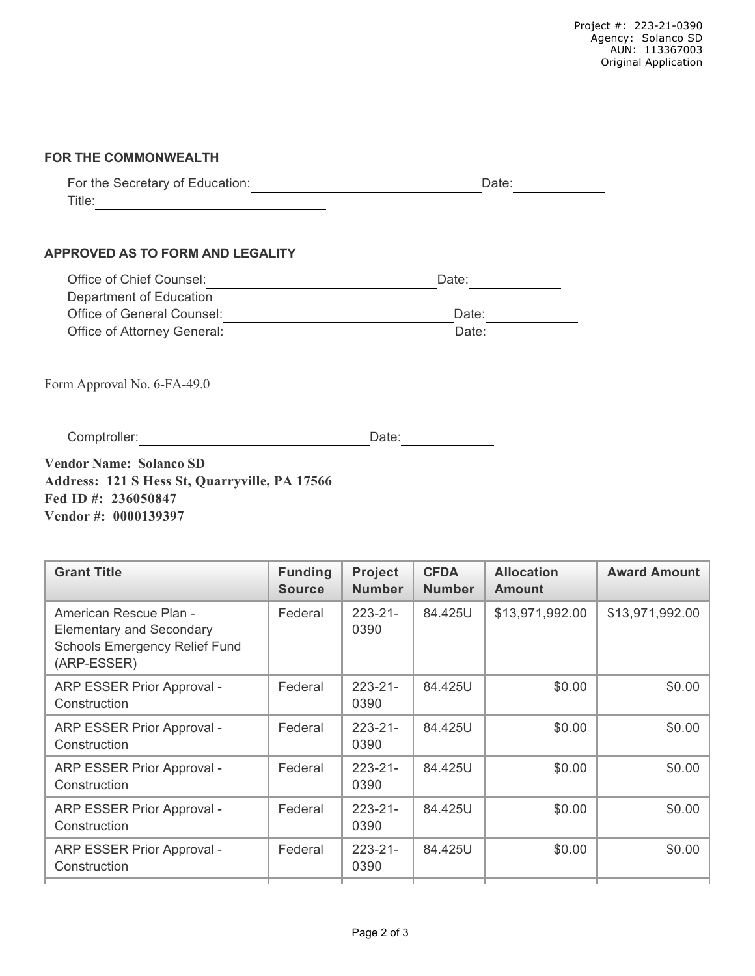#### **FOR THE COMMONWEALTH**

| For the Secretary of Education: | Date: |
|---------------------------------|-------|
| Title:                          |       |

### **APPROVED AS TO FORM AND LEGALITY**

| Office of Chief Counsel:    | Date: |
|-----------------------------|-------|
| Department of Education     |       |
| Office of General Counsel:  | Date: |
| Office of Attorney General: | Date: |

Form Approval No. 6-FA-49.0

Comptroller: Date:

**Vendor Name: Solanco SD Address: 121 S Hess St, Quarryville, PA 17566 Fed ID #: 236050847 Vendor #: 0000139397**

| <b>Grant Title</b>                                                                                               | <b>Funding</b><br><b>Source</b> | <b>Project</b><br><b>Number</b> | <b>CFDA</b><br><b>Number</b> | <b>Allocation</b><br><b>Amount</b> | <b>Award Amount</b> |
|------------------------------------------------------------------------------------------------------------------|---------------------------------|---------------------------------|------------------------------|------------------------------------|---------------------|
| American Rescue Plan -<br><b>Elementary and Secondary</b><br><b>Schools Emergency Relief Fund</b><br>(ARP-ESSER) | Federal                         | $223 - 21$<br>0390              | 84.425U                      | \$13,971,992.00                    | \$13,971,992.00     |
| ARP ESSER Prior Approval -<br>Construction                                                                       | Federal                         | $223 - 21 -$<br>0390            | 84.425U                      | \$0.00                             | \$0.00              |
| ARP ESSER Prior Approval -<br>Construction                                                                       | Federal                         | $223 - 21 -$<br>0390            | 84.425U                      | \$0.00                             | \$0.00              |
| ARP ESSER Prior Approval -<br>Construction                                                                       | Federal                         | $223 - 21 -$<br>0390            | 84.425U                      | \$0.00                             | \$0.00              |
| ARP ESSER Prior Approval -<br>Construction                                                                       | Federal                         | $223 - 21 -$<br>0390            | 84.425U                      | \$0.00                             | \$0.00              |
| ARP ESSER Prior Approval -<br>Construction                                                                       | Federal                         | $223 - 21 -$<br>0390            | 84.425U                      | \$0.00                             | \$0.00              |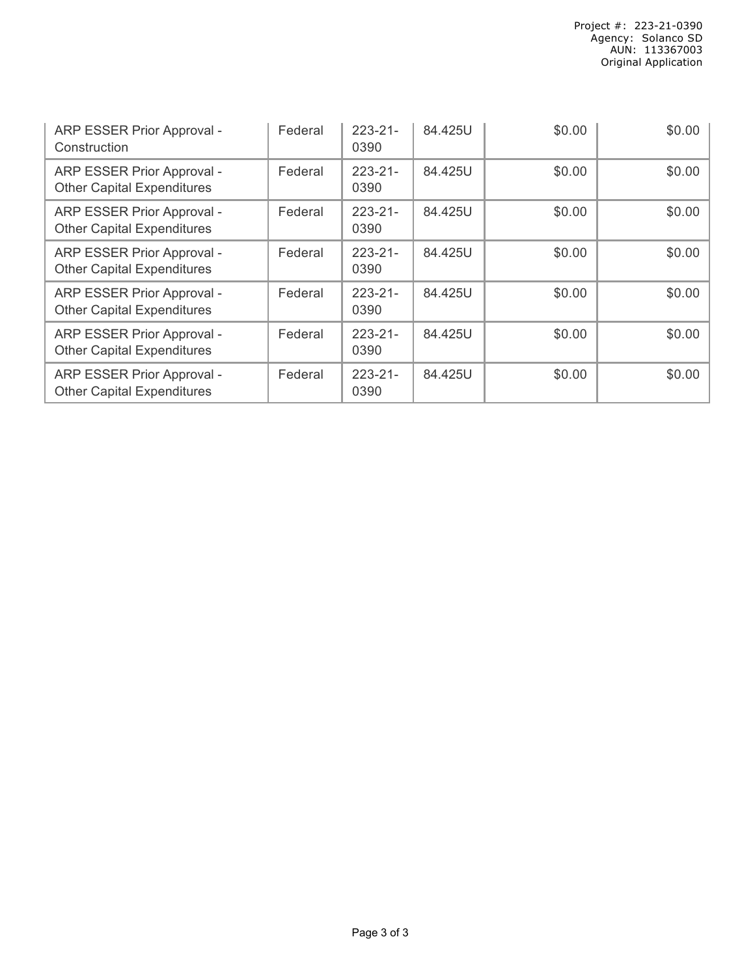|                                                                        |         |                      |         |        | Project #: 223-21-0390<br>Agency: Solanco SD<br>AUN: 113367003<br>Original Application |
|------------------------------------------------------------------------|---------|----------------------|---------|--------|----------------------------------------------------------------------------------------|
| <b>ARP ESSER Prior Approval -</b><br>Construction                      | Federal | $223 - 21 -$<br>0390 | 84.425U | \$0.00 | \$0.00                                                                                 |
| ARP ESSER Prior Approval -<br><b>Other Capital Expenditures</b>        | Federal | $223 - 21 -$<br>0390 | 84.425U | \$0.00 | \$0.00                                                                                 |
| <b>ARP ESSER Prior Approval -</b><br><b>Other Capital Expenditures</b> | Federal | $223 - 21 -$<br>0390 | 84.425U | \$0.00 | \$0.00                                                                                 |
| ARP ESSER Prior Approval -<br><b>Other Capital Expenditures</b>        | Federal | $223 - 21 -$<br>0390 | 84.425U | \$0.00 | \$0.00                                                                                 |
| <b>ARP ESSER Prior Approval -</b><br><b>Other Capital Expenditures</b> | Federal | $223 - 21 -$<br>0390 | 84.425U | \$0.00 | \$0.00                                                                                 |
| <b>ARP ESSER Prior Approval -</b><br><b>Other Capital Expenditures</b> | Federal | $223 - 21 -$<br>0390 | 84.425U | \$0.00 | \$0.00                                                                                 |
| <b>ARP ESSER Prior Approval -</b><br><b>Other Capital Expenditures</b> | Federal | $223 - 21 -$<br>0390 | 84.425U | \$0.00 | \$0.00                                                                                 |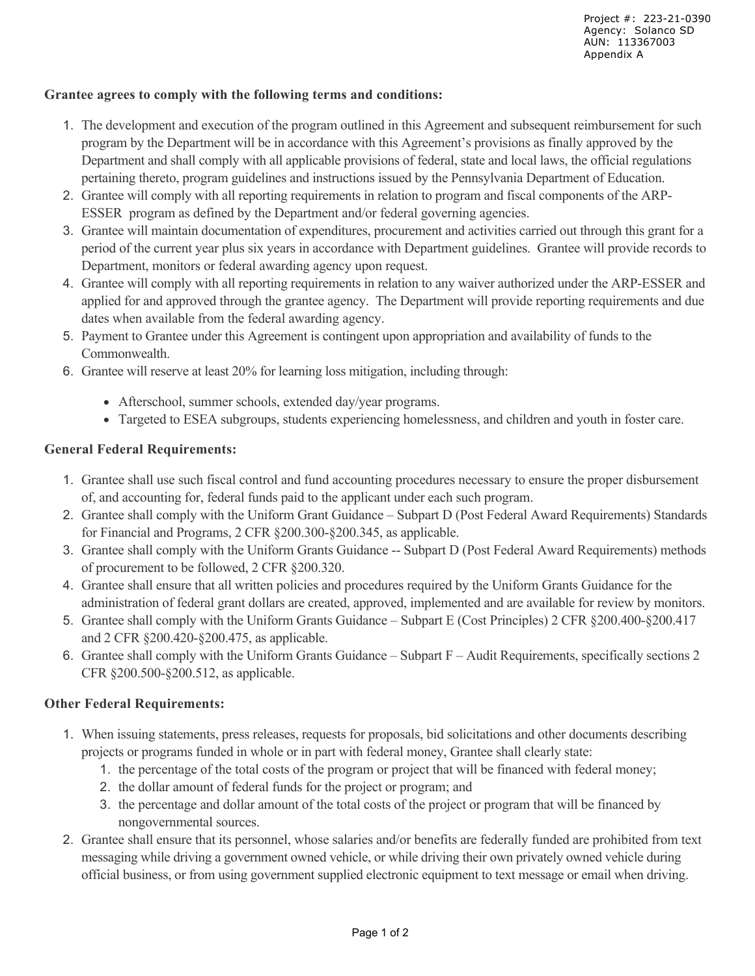### **Grantee agrees to comply with the following terms and conditions:**

- 1. The development and execution of the program outlined in this Agreement and subsequent reimbursement for such program by the Department will be in accordance with this Agreement's provisions as finally approved by the Department and shall comply with all applicable provisions of federal, state and local laws, the official regulations pertaining thereto, program guidelines and instructions issued by the Pennsylvania Department of Education.
- 2. Grantee will comply with all reporting requirements in relation to program and fiscal components of the ARP-ESSER program as defined by the Department and/or federal governing agencies.
- 3. Grantee will maintain documentation of expenditures, procurement and activities carried out through this grant for a period of the current year plus six years in accordance with Department guidelines. Grantee will provide records to Department, monitors or federal awarding agency upon request.
- 4. Grantee will comply with all reporting requirements in relation to any waiver authorized under the ARP-ESSER and applied for and approved through the grantee agency. The Department will provide reporting requirements and due dates when available from the federal awarding agency.
- 5. Payment to Grantee under this Agreement is contingent upon appropriation and availability of funds to the Commonwealth.
- 6. Grantee will reserve at least 20% for learning loss mitigation, including through:
	- Afterschool, summer schools, extended day/year programs.
	- Targeted to ESEA subgroups, students experiencing homelessness, and children and youth in foster care.

#### **General Federal Requirements:**

- 1. Grantee shall use such fiscal control and fund accounting procedures necessary to ensure the proper disbursement of, and accounting for, federal funds paid to the applicant under each such program.
- 2. Grantee shall comply with the Uniform Grant Guidance Subpart D (Post Federal Award Requirements) Standards for Financial and Programs, 2 CFR §200.300-§200.345, as applicable.
- 3. Grantee shall comply with the Uniform Grants Guidance -- Subpart D (Post Federal Award Requirements) methods of procurement to be followed, 2 CFR §200.320.
- 4. Grantee shall ensure that all written policies and procedures required by the Uniform Grants Guidance for the administration of federal grant dollars are created, approved, implemented and are available for review by monitors.
- 5. Grantee shall comply with the Uniform Grants Guidance Subpart E (Cost Principles) 2 CFR §200.400-§200.417 and 2 CFR §200.420-§200.475, as applicable.
- 6. Grantee shall comply with the Uniform Grants Guidance Subpart  $F -$  Audit Requirements, specifically sections 2 CFR §200.500-§200.512, as applicable.

#### **Other Federal Requirements:**

- 1. When issuing statements, press releases, requests for proposals, bid solicitations and other documents describing projects or programs funded in whole or in part with federal money, Grantee shall clearly state:
	- 1. the percentage of the total costs of the program or project that will be financed with federal money;
	- 2. the dollar amount of federal funds for the project or program; and
	- 3. the percentage and dollar amount of the total costs of the project or program that will be financed by nongovernmental sources.
- 2. Grantee shall ensure that its personnel, whose salaries and/or benefits are federally funded are prohibited from text messaging while driving a government owned vehicle, or while driving their own privately owned vehicle during official business, or from using government supplied electronic equipment to text message or email when driving.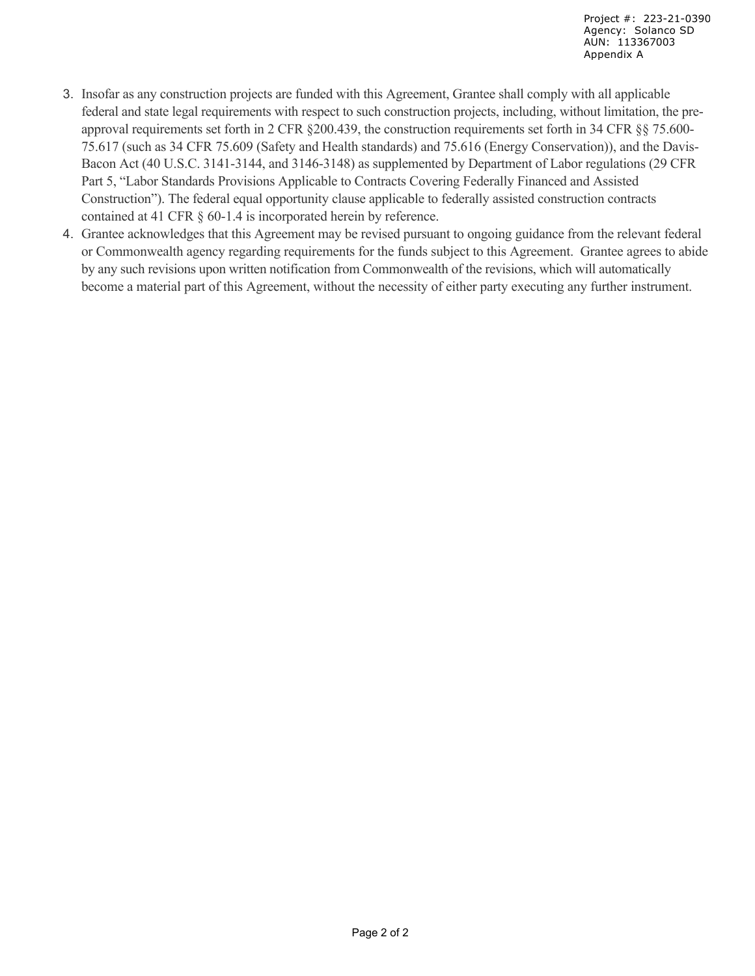- 3. Insofar as any construction projects are funded with this Agreement, Grantee shall comply with all applicable federal and state legal requirements with respect to such construction projects, including, without limitation, the preapproval requirements set forth in 2 CFR §200.439, the construction requirements set forth in 34 CFR §§ 75.600- 75.617 (such as 34 CFR 75.609 (Safety and Health standards) and 75.616 (Energy Conservation)), and the Davis-Bacon Act (40 U.S.C. 3141-3144, and 3146-3148) as supplemented by Department of Labor regulations (29 CFR Part 5, "Labor Standards Provisions Applicable to Contracts Covering Federally Financed and Assisted Construction"). The federal equal opportunity clause applicable to federally assisted construction contracts contained at 41 CFR § 60-1.4 is incorporated herein by reference.
- 4. Grantee acknowledges that this Agreement may be revised pursuant to ongoing guidance from the relevant federal or Commonwealth agency regarding requirements for the funds subject to this Agreement. Grantee agrees to abide by any such revisions upon written notification from Commonwealth of the revisions, which will automatically become a material part of this Agreement, without the necessity of either party executing any further instrument.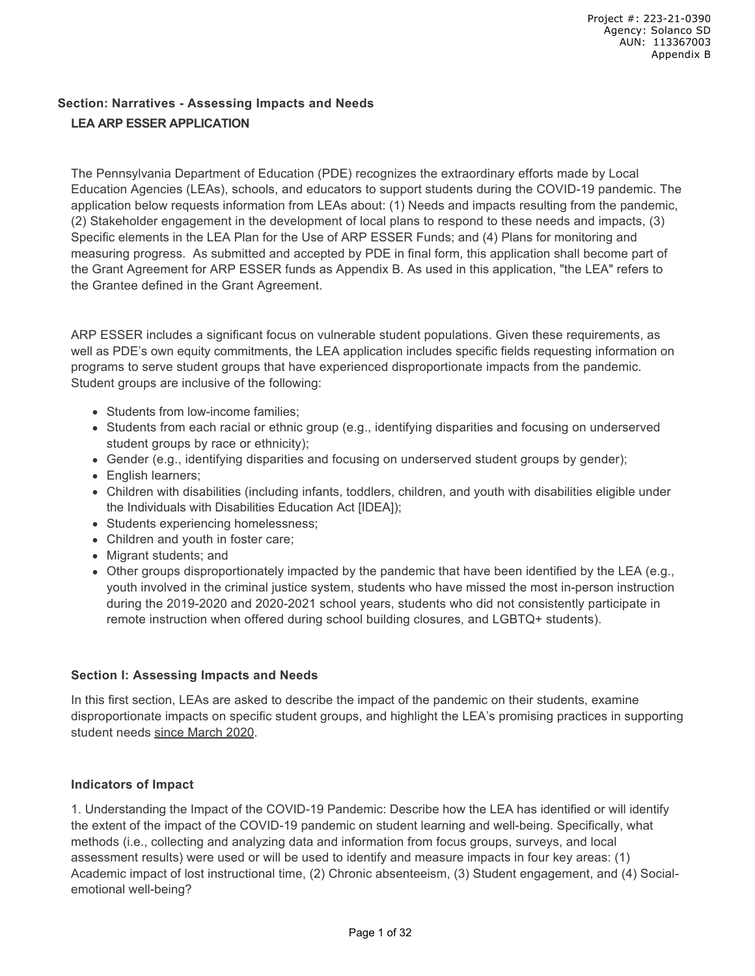## **Section: Narratives - Assessing Impacts and Needs LEA ARP ESSER APPLICATION**

The Pennsylvania Department of Education (PDE) recognizes the extraordinary efforts made by Local Education Agencies (LEAs), schools, and educators to support students during the COVID-19 pandemic. The application below requests information from LEAs about: (1) Needs and impacts resulting from the pandemic, (2) Stakeholder engagement in the development of local plans to respond to these needs and impacts, (3) Specific elements in the LEA Plan for the Use of ARP ESSER Funds; and (4) Plans for monitoring and measuring progress. As submitted and accepted by PDE in final form, this application shall become part of the Grant Agreement for ARP ESSER funds as Appendix B. As used in this application, "the LEA" refers to the Grantee defined in the Grant Agreement.

ARP ESSER includes a significant focus on vulnerable student populations. Given these requirements, as well as PDE's own equity commitments, the LEA application includes specific fields requesting information on programs to serve student groups that have experienced disproportionate impacts from the pandemic. Student groups are inclusive of the following:

- Students from low-income families;
- Students from each racial or ethnic group (e.g., identifying disparities and focusing on underserved student groups by race or ethnicity);
- Gender (e.g., identifying disparities and focusing on underserved student groups by gender);
- English learners;
- Children with disabilities (including infants, toddlers, children, and youth with disabilities eligible under the Individuals with Disabilities Education Act [IDEA]);
- Students experiencing homelessness;
- Children and youth in foster care;
- Migrant students; and
- Other groups disproportionately impacted by the pandemic that have been identified by the LEA (e.g., youth involved in the criminal justice system, students who have missed the most in-person instruction during the 2019-2020 and 2020-2021 school years, students who did not consistently participate in remote instruction when offered during school building closures, and LGBTQ+ students).

### **Section I: Assessing Impacts and Needs**

In this first section, LEAs are asked to describe the impact of the pandemic on their students, examine disproportionate impacts on specific student groups, and highlight the LEA's promising practices in supporting student needs since March 2020.

#### **Indicators of Impact**

1. Understanding the Impact of the COVID-19 Pandemic: Describe how the LEA has identified or will identify the extent of the impact of the COVID-19 pandemic on student learning and well-being. Specifically, what methods (i.e., collecting and analyzing data and information from focus groups, surveys, and local assessment results) were used or will be used to identify and measure impacts in four key areas: (1) Academic impact of lost instructional time, (2) Chronic absenteeism, (3) Student engagement, and (4) Socialemotional well-being?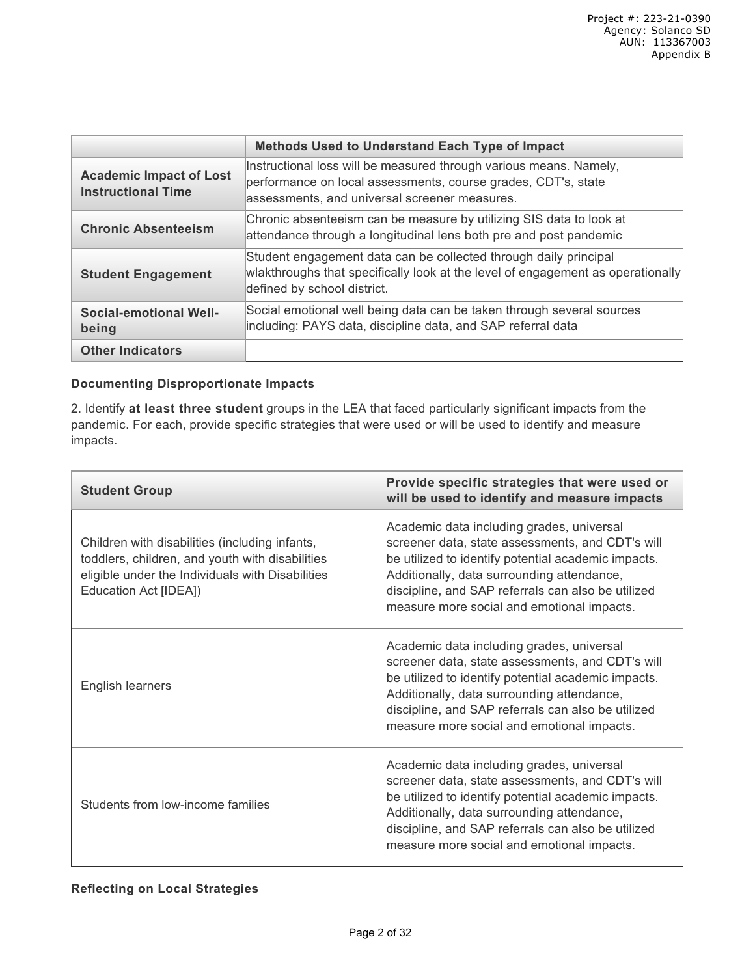|                                                             | <b>Methods Used to Understand Each Type of Impact</b>                                                                                                                                |
|-------------------------------------------------------------|--------------------------------------------------------------------------------------------------------------------------------------------------------------------------------------|
| <b>Academic Impact of Lost</b><br><b>Instructional Time</b> | Instructional loss will be measured through various means. Namely,<br>performance on local assessments, course grades, CDT's, state<br>assessments, and universal screener measures. |
| <b>Chronic Absenteeism</b>                                  | Chronic absenteeism can be measure by utilizing SIS data to look at<br>attendance through a longitudinal lens both pre and post pandemic                                             |
| <b>Student Engagement</b>                                   | Student engagement data can be collected through daily principal<br>wlakthroughs that specifically look at the level of engagement as operationally<br>defined by school district.   |
| <b>Social-emotional Well-</b><br>being                      | Social emotional well being data can be taken through several sources<br>including: PAYS data, discipline data, and SAP referral data                                                |
| <b>Other Indicators</b>                                     |                                                                                                                                                                                      |

### **Documenting Disproportionate Impacts**

2. Identify **at least three student** groups in the LEA that faced particularly significant impacts from the pandemic. For each, provide specific strategies that were used or will be used to identify and measure impacts.

| <b>Student Group</b>                                                                                                                                                           | Provide specific strategies that were used or<br>will be used to identify and measure impacts                                                                                                                                                                                                          |
|--------------------------------------------------------------------------------------------------------------------------------------------------------------------------------|--------------------------------------------------------------------------------------------------------------------------------------------------------------------------------------------------------------------------------------------------------------------------------------------------------|
| Children with disabilities (including infants,<br>toddlers, children, and youth with disabilities<br>eligible under the Individuals with Disabilities<br>Education Act [IDEA]) | Academic data including grades, universal<br>screener data, state assessments, and CDT's will<br>be utilized to identify potential academic impacts.<br>Additionally, data surrounding attendance,<br>discipline, and SAP referrals can also be utilized<br>measure more social and emotional impacts. |
| English learners                                                                                                                                                               | Academic data including grades, universal<br>screener data, state assessments, and CDT's will<br>be utilized to identify potential academic impacts.<br>Additionally, data surrounding attendance,<br>discipline, and SAP referrals can also be utilized<br>measure more social and emotional impacts. |
| Students from low-income families                                                                                                                                              | Academic data including grades, universal<br>screener data, state assessments, and CDT's will<br>be utilized to identify potential academic impacts.<br>Additionally, data surrounding attendance,<br>discipline, and SAP referrals can also be utilized<br>measure more social and emotional impacts. |

### **Reflecting on Local Strategies**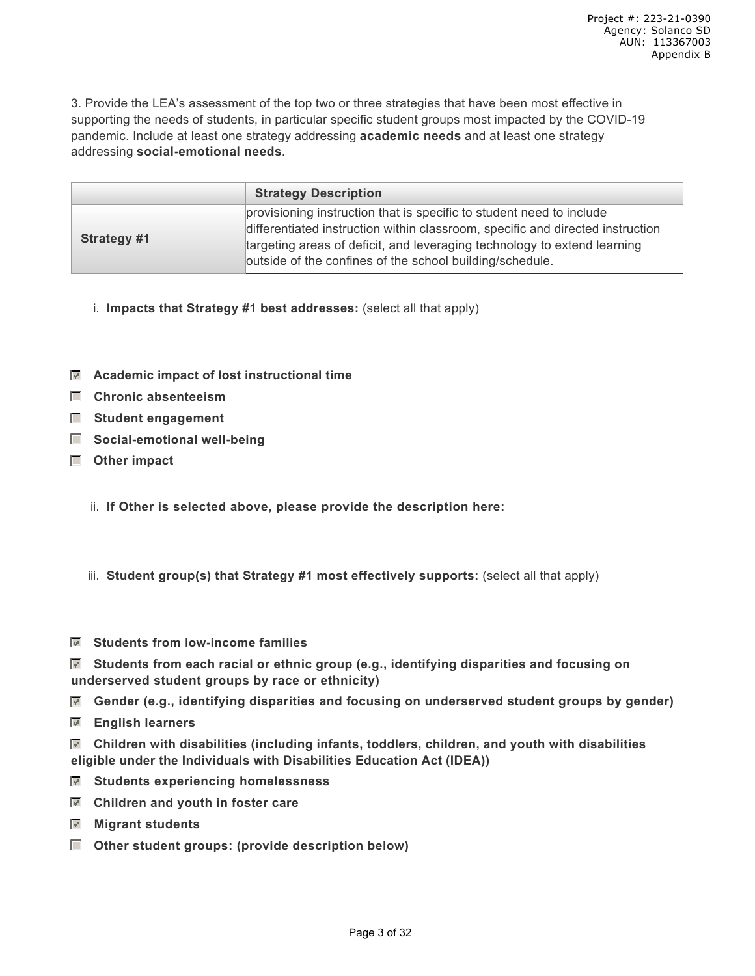3. Provide the LEA's assessment of the top two or three strategies that have been most effective in supporting the needs of students, in particular specific student groups most impacted by the COVID-19 pandemic. Include at least one strategy addressing **academic needs** and at least one strategy addressing **social-emotional needs**.

|             | <b>Strategy Description</b>                                                                                                                                                                                                                                                                    |
|-------------|------------------------------------------------------------------------------------------------------------------------------------------------------------------------------------------------------------------------------------------------------------------------------------------------|
| Strategy #1 | provisioning instruction that is specific to student need to include<br>differentiated instruction within classroom, specific and directed instruction<br>targeting areas of deficit, and leveraging technology to extend learning<br>outside of the confines of the school building/schedule. |

- i. **Impacts that Strategy #1 best addresses:** (select all that apply)
- **Academic impact of lost instructional time**
- **Chronic absenteeism**
- **Student engagement**
- **Social-emotional well-being**
- **Other impact**
	- ii. **If Other is selected above, please provide the description here:**
	- iii. **Student group(s) that Strategy #1 most effectively supports:** (select all that apply)
- **Students from low-income families**
- **Students from each racial or ethnic group (e.g., identifying disparities and focusing on underserved student groups by race or ethnicity)**
- **Gender (e.g., identifying disparities and focusing on underserved student groups by gender)**
- **English learners**
- **Children with disabilities (including infants, toddlers, children, and youth with disabilities eligible under the Individuals with Disabilities Education Act (IDEA))**
- **Students experiencing homelessness**
- **Children and youth in foster care**
- **Migrant students**
- **Other student groups: (provide description below)**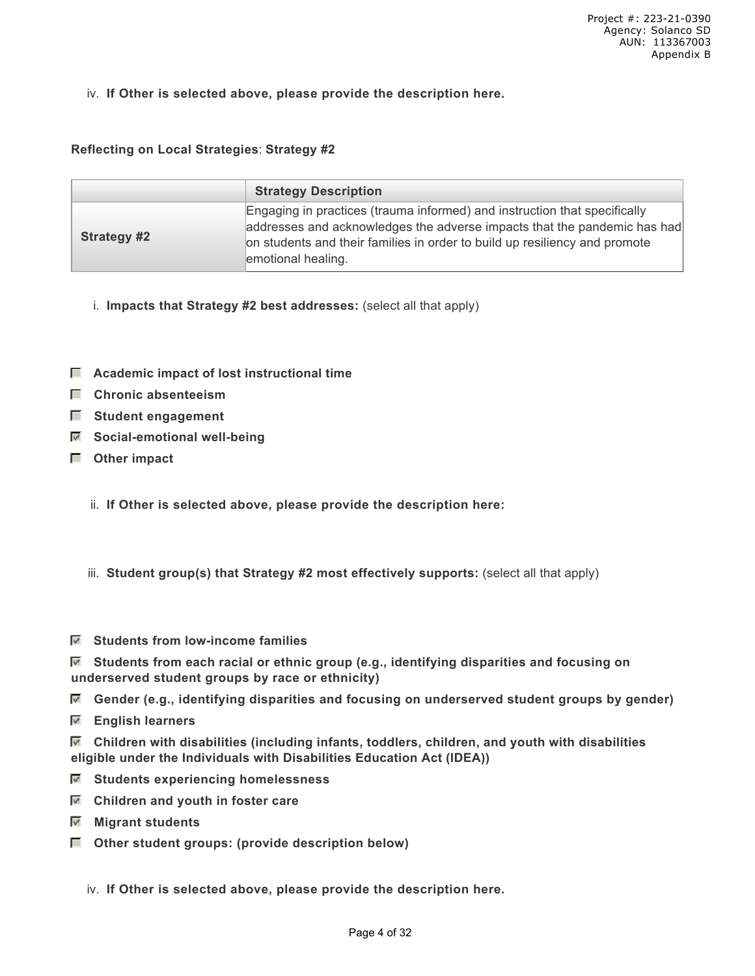#### iv. **If Other is selected above, please provide the description here.**

#### **Reflecting on Local Strategies**: **Strategy #2**

|                    | <b>Strategy Description</b>                                                                                                                                                                                                                               |
|--------------------|-----------------------------------------------------------------------------------------------------------------------------------------------------------------------------------------------------------------------------------------------------------|
| <b>Strategy #2</b> | Engaging in practices (trauma informed) and instruction that specifically<br>addresses and acknowledges the adverse impacts that the pandemic has had<br>on students and their families in order to build up resiliency and promote<br>emotional healing. |

- i. **Impacts that Strategy #2 best addresses:** (select all that apply)
- **Academic impact of lost instructional time**
- **Chronic absenteeism**
- **Student engagement**
- **Social-emotional well-being**
- **Other impact**
	- ii. **If Other is selected above, please provide the description here:**
	- iii. **Student group(s) that Strategy #2 most effectively supports:** (select all that apply)
- **Students from low-income families**

 **Students from each racial or ethnic group (e.g., identifying disparities and focusing on underserved student groups by race or ethnicity)**

- **Gender (e.g., identifying disparities and focusing on underserved student groups by gender)**
- **English learners**
- **Children with disabilities (including infants, toddlers, children, and youth with disabilities eligible under the Individuals with Disabilities Education Act (IDEA))**
- **Students experiencing homelessness**
- **Children and youth in foster care**
- **Migrant students**
- **Other student groups: (provide description below)**
	- iv. **If Other is selected above, please provide the description here.**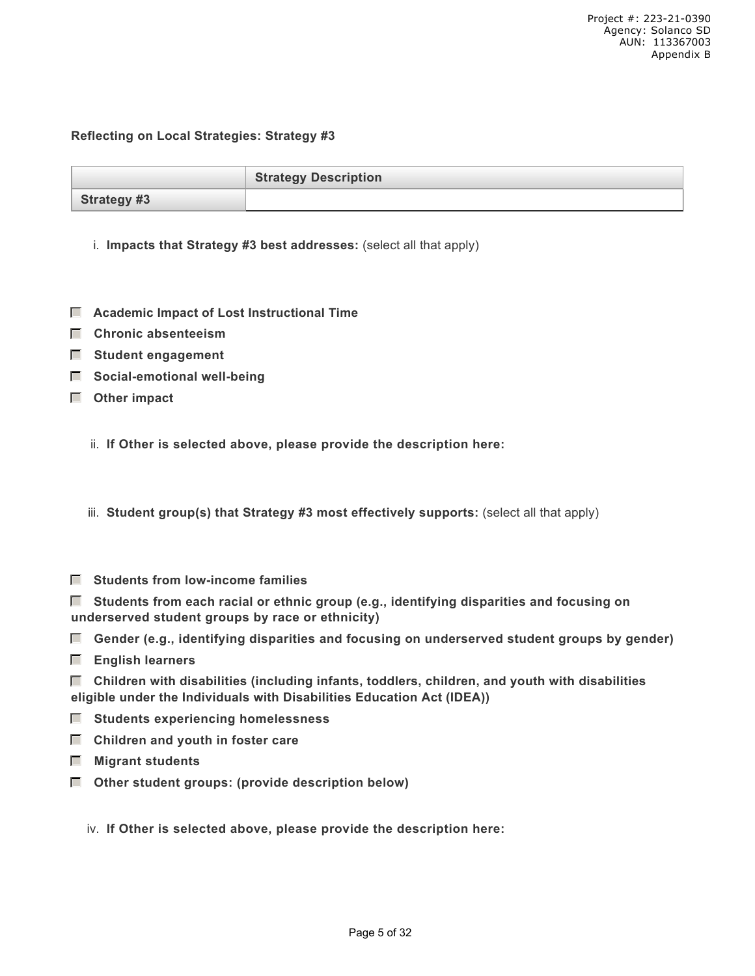#### **Reflecting on Local Strategies: Strategy #3**

|                    | <b>Strategy Description</b> |
|--------------------|-----------------------------|
| <b>Strategy #3</b> |                             |

i. **Impacts that Strategy #3 best addresses:** (select all that apply)

- **Academic Impact of Lost Instructional Time**
- **Chronic absenteeism**
- **Student engagement**
- **Social-emotional well-being**
- **Other impact**

ii. **If Other is selected above, please provide the description here:**

iii. **Student group(s) that Strategy #3 most effectively supports:** (select all that apply)

 **Students from low-income families**

 **Students from each racial or ethnic group (e.g., identifying disparities and focusing on underserved student groups by race or ethnicity)**

 **Gender (e.g., identifying disparities and focusing on underserved student groups by gender)**

 **English learners**

 **Children with disabilities (including infants, toddlers, children, and youth with disabilities eligible under the Individuals with Disabilities Education Act (IDEA))**

- **Students experiencing homelessness**
- $\Box$  Children and youth in foster care
- **Migrant students**
- $\Box$  Other student groups: (provide description below)

iv. **If Other is selected above, please provide the description here:**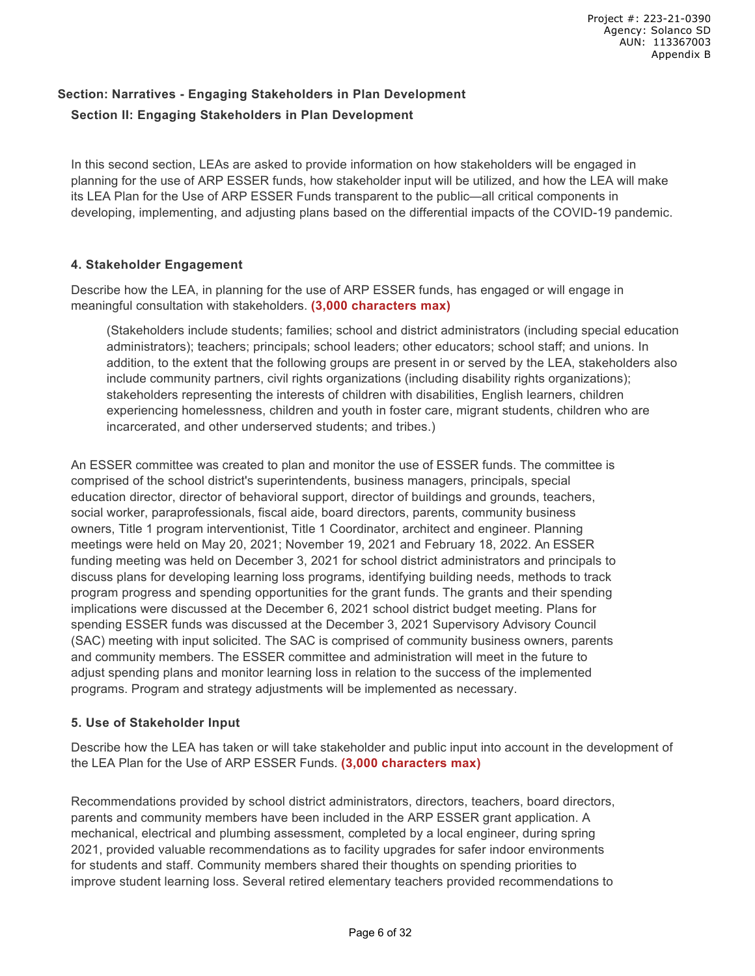# **Section: Narratives - Engaging Stakeholders in Plan Development Section II: Engaging Stakeholders in Plan Development**

In this second section, LEAs are asked to provide information on how stakeholders will be engaged in planning for the use of ARP ESSER funds, how stakeholder input will be utilized, and how the LEA will make its LEA Plan for the Use of ARP ESSER Funds transparent to the public—all critical components in developing, implementing, and adjusting plans based on the differential impacts of the COVID-19 pandemic.

### **4. Stakeholder Engagement**

Describe how the LEA, in planning for the use of ARP ESSER funds, has engaged or will engage in meaningful consultation with stakeholders. **(3,000 characters max)**

(Stakeholders include students; families; school and district administrators (including special education administrators); teachers; principals; school leaders; other educators; school staff; and unions. In addition, to the extent that the following groups are present in or served by the LEA, stakeholders also include community partners, civil rights organizations (including disability rights organizations); stakeholders representing the interests of children with disabilities, English learners, children experiencing homelessness, children and youth in foster care, migrant students, children who are incarcerated, and other underserved students; and tribes.)

An ESSER committee was created to plan and monitor the use of ESSER funds. The committee is comprised of the school district's superintendents, business managers, principals, special education director, director of behavioral support, director of buildings and grounds, teachers, social worker, paraprofessionals, fiscal aide, board directors, parents, community business owners, Title 1 program interventionist, Title 1 Coordinator, architect and engineer. Planning meetings were held on May 20, 2021; November 19, 2021 and February 18, 2022. An ESSER funding meeting was held on December 3, 2021 for school district administrators and principals to discuss plans for developing learning loss programs, identifying building needs, methods to track program progress and spending opportunities for the grant funds. The grants and their spending implications were discussed at the December 6, 2021 school district budget meeting. Plans for spending ESSER funds was discussed at the December 3, 2021 Supervisory Advisory Council (SAC) meeting with input solicited. The SAC is comprised of community business owners, parents and community members. The ESSER committee and administration will meet in the future to adjust spending plans and monitor learning loss in relation to the success of the implemented programs. Program and strategy adjustments will be implemented as necessary.

### **5. Use of Stakeholder Input**

Describe how the LEA has taken or will take stakeholder and public input into account in the development of the LEA Plan for the Use of ARP ESSER Funds. **(3,000 characters max)**

Recommendations provided by school district administrators, directors, teachers, board directors, parents and community members have been included in the ARP ESSER grant application. A mechanical, electrical and plumbing assessment, completed by a local engineer, during spring 2021, provided valuable recommendations as to facility upgrades for safer indoor environments for students and staff. Community members shared their thoughts on spending priorities to improve student learning loss. Several retired elementary teachers provided recommendations to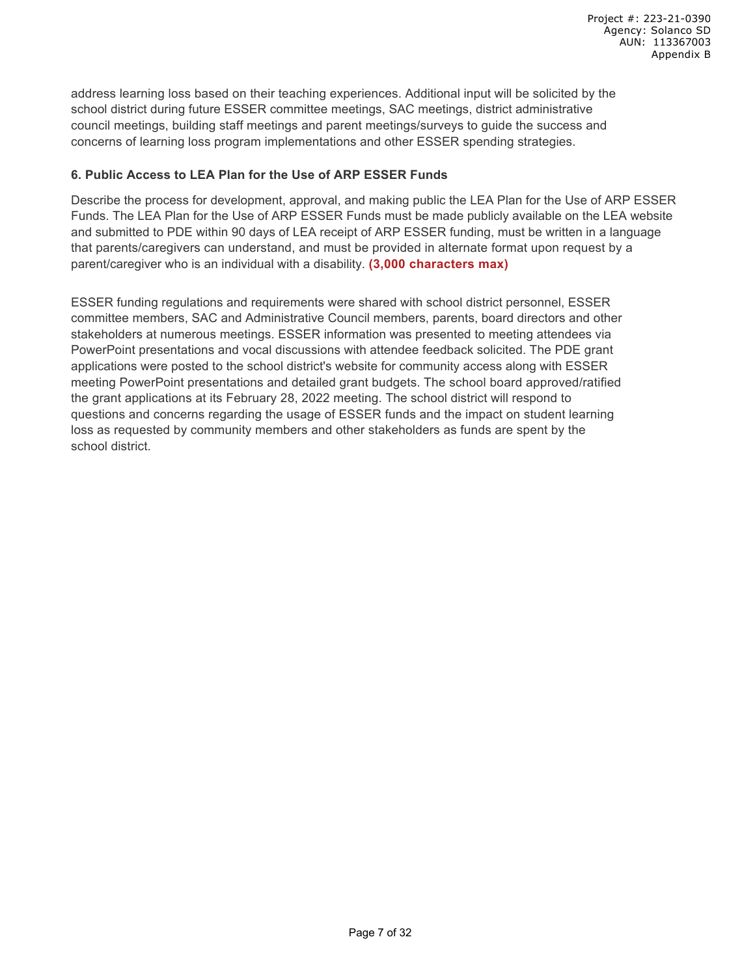address learning loss based on their teaching experiences. Additional input will be solicited by the school district during future ESSER committee meetings, SAC meetings, district administrative council meetings, building staff meetings and parent meetings/surveys to guide the success and concerns of learning loss program implementations and other ESSER spending strategies.

### **6. Public Access to LEA Plan for the Use of ARP ESSER Funds**

Describe the process for development, approval, and making public the LEA Plan for the Use of ARP ESSER Funds. The LEA Plan for the Use of ARP ESSER Funds must be made publicly available on the LEA website and submitted to PDE within 90 days of LEA receipt of ARP ESSER funding, must be written in a language that parents/caregivers can understand, and must be provided in alternate format upon request by a parent/caregiver who is an individual with a disability. **(3,000 characters max)**

ESSER funding regulations and requirements were shared with school district personnel, ESSER committee members, SAC and Administrative Council members, parents, board directors and other stakeholders at numerous meetings. ESSER information was presented to meeting attendees via PowerPoint presentations and vocal discussions with attendee feedback solicited. The PDE grant applications were posted to the school district's website for community access along with ESSER meeting PowerPoint presentations and detailed grant budgets. The school board approved/ratified the grant applications at its February 28, 2022 meeting. The school district will respond to questions and concerns regarding the usage of ESSER funds and the impact on student learning loss as requested by community members and other stakeholders as funds are spent by the school district.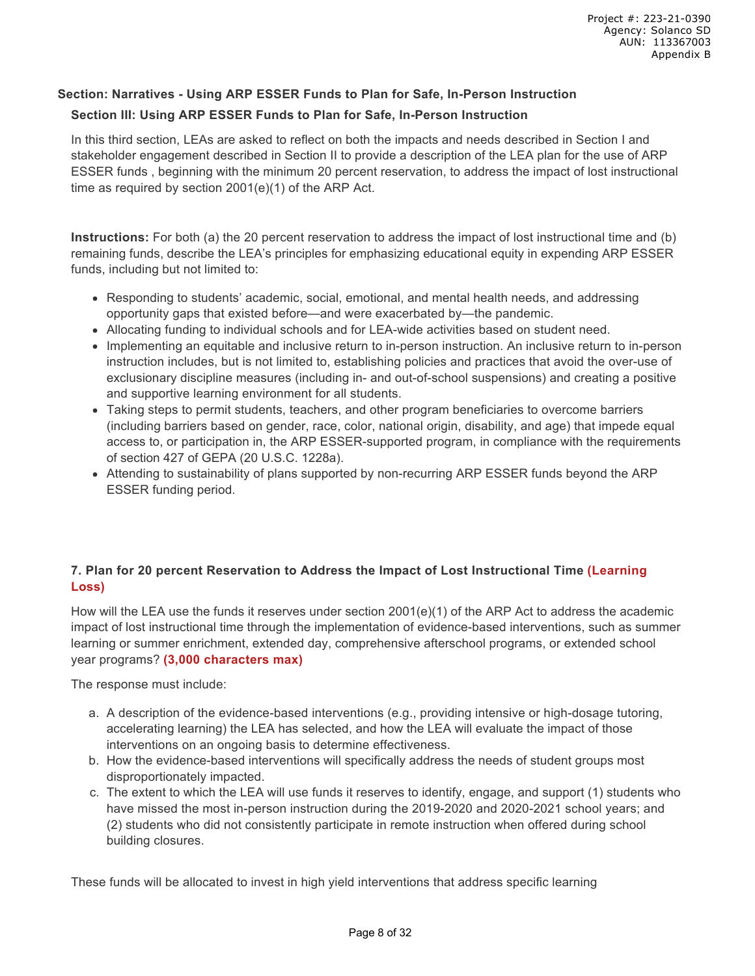### **Section: Narratives - Using ARP ESSER Funds to Plan for Safe, In-Person Instruction**

### **Section III: Using ARP ESSER Funds to Plan for Safe, In-Person Instruction**

In this third section, LEAs are asked to reflect on both the impacts and needs described in Section I and stakeholder engagement described in Section II to provide a description of the LEA plan for the use of ARP ESSER funds , beginning with the minimum 20 percent reservation, to address the impact of lost instructional time as required by section 2001(e)(1) of the ARP Act.

**Instructions:** For both (a) the 20 percent reservation to address the impact of lost instructional time and (b) remaining funds, describe the LEA's principles for emphasizing educational equity in expending ARP ESSER funds, including but not limited to:

- Responding to students' academic, social, emotional, and mental health needs, and addressing opportunity gaps that existed before—and were exacerbated by—the pandemic.
- Allocating funding to individual schools and for LEA-wide activities based on student need.
- Implementing an equitable and inclusive return to in-person instruction. An inclusive return to in-person instruction includes, but is not limited to, establishing policies and practices that avoid the over-use of exclusionary discipline measures (including in- and out-of-school suspensions) and creating a positive and supportive learning environment for all students.
- Taking steps to permit students, teachers, and other program beneficiaries to overcome barriers (including barriers based on gender, race, color, national origin, disability, and age) that impede equal access to, or participation in, the ARP ESSER-supported program, in compliance with the requirements of section 427 of GEPA (20 U.S.C. 1228a).
- Attending to sustainability of plans supported by non-recurring ARP ESSER funds beyond the ARP ESSER funding period.

### **7. Plan for 20 percent Reservation to Address the Impact of Lost Instructional Time (Learning Loss)**

How will the LEA use the funds it reserves under section 2001(e)(1) of the ARP Act to address the academic impact of lost instructional time through the implementation of evidence-based interventions, such as summer learning or summer enrichment, extended day, comprehensive afterschool programs, or extended school year programs? **(3,000 characters max)** 

The response must include:

- a. A description of the evidence-based interventions (e.g., providing intensive or high-dosage tutoring, accelerating learning) the LEA has selected, and how the LEA will evaluate the impact of those interventions on an ongoing basis to determine effectiveness.
- b. How the evidence-based interventions will specifically address the needs of student groups most disproportionately impacted.
- c. The extent to which the LEA will use funds it reserves to identify, engage, and support (1) students who have missed the most in-person instruction during the 2019-2020 and 2020-2021 school years; and (2) students who did not consistently participate in remote instruction when offered during school building closures.

These funds will be allocated to invest in high yield interventions that address specific learning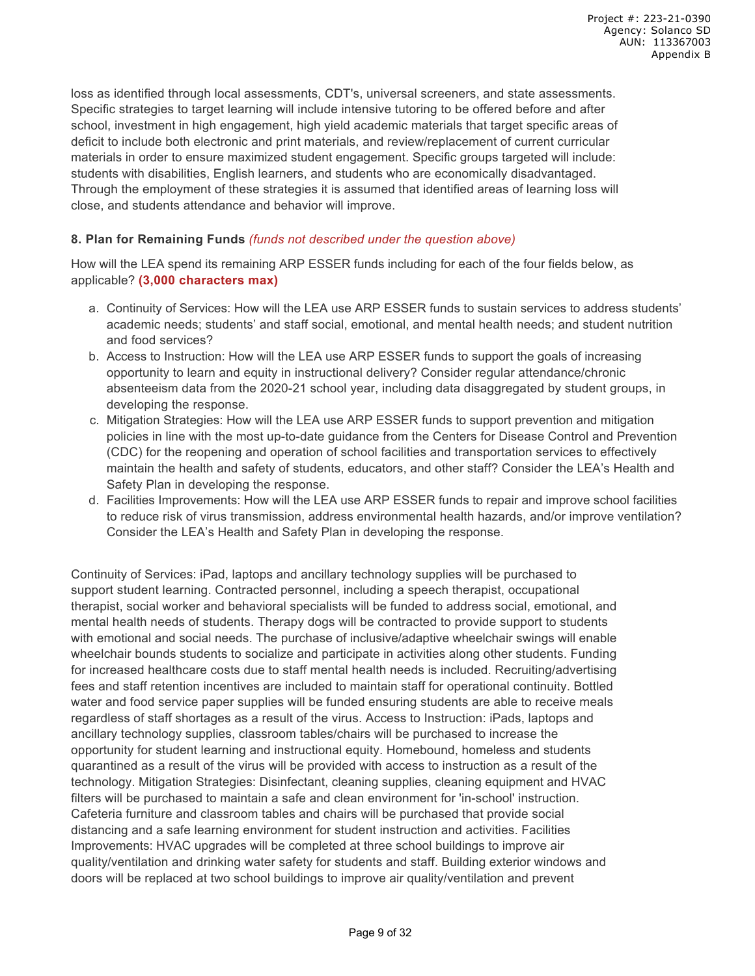loss as identified through local assessments, CDT's, universal screeners, and state assessments. Specific strategies to target learning will include intensive tutoring to be offered before and after school, investment in high engagement, high yield academic materials that target specific areas of deficit to include both electronic and print materials, and review/replacement of current curricular materials in order to ensure maximized student engagement. Specific groups targeted will include: students with disabilities, English learners, and students who are economically disadvantaged. Through the employment of these strategies it is assumed that identified areas of learning loss will close, and students attendance and behavior will improve.

### **8. Plan for Remaining Funds** *(funds not described under the question above)*

How will the LEA spend its remaining ARP ESSER funds including for each of the four fields below, as applicable? **(3,000 characters max)**

- a. Continuity of Services: How will the LEA use ARP ESSER funds to sustain services to address students' academic needs; students' and staff social, emotional, and mental health needs; and student nutrition and food services?
- b. Access to Instruction: How will the LEA use ARP ESSER funds to support the goals of increasing opportunity to learn and equity in instructional delivery? Consider regular attendance/chronic absenteeism data from the 2020-21 school year, including data disaggregated by student groups, in developing the response.
- c. Mitigation Strategies: How will the LEA use ARP ESSER funds to support prevention and mitigation policies in line with the most up-to-date guidance from the Centers for Disease Control and Prevention (CDC) for the reopening and operation of school facilities and transportation services to effectively maintain the health and safety of students, educators, and other staff? Consider the LEA's Health and Safety Plan in developing the response.
- d. Facilities Improvements: How will the LEA use ARP ESSER funds to repair and improve school facilities to reduce risk of virus transmission, address environmental health hazards, and/or improve ventilation? Consider the LEA's Health and Safety Plan in developing the response.

Continuity of Services: iPad, laptops and ancillary technology supplies will be purchased to support student learning. Contracted personnel, including a speech therapist, occupational therapist, social worker and behavioral specialists will be funded to address social, emotional, and mental health needs of students. Therapy dogs will be contracted to provide support to students with emotional and social needs. The purchase of inclusive/adaptive wheelchair swings will enable wheelchair bounds students to socialize and participate in activities along other students. Funding for increased healthcare costs due to staff mental health needs is included. Recruiting/advertising fees and staff retention incentives are included to maintain staff for operational continuity. Bottled water and food service paper supplies will be funded ensuring students are able to receive meals regardless of staff shortages as a result of the virus. Access to Instruction: iPads, laptops and ancillary technology supplies, classroom tables/chairs will be purchased to increase the opportunity for student learning and instructional equity. Homebound, homeless and students quarantined as a result of the virus will be provided with access to instruction as a result of the technology. Mitigation Strategies: Disinfectant, cleaning supplies, cleaning equipment and HVAC filters will be purchased to maintain a safe and clean environment for 'in-school' instruction. Cafeteria furniture and classroom tables and chairs will be purchased that provide social distancing and a safe learning environment for student instruction and activities. Facilities Improvements: HVAC upgrades will be completed at three school buildings to improve air quality/ventilation and drinking water safety for students and staff. Building exterior windows and doors will be replaced at two school buildings to improve air quality/ventilation and prevent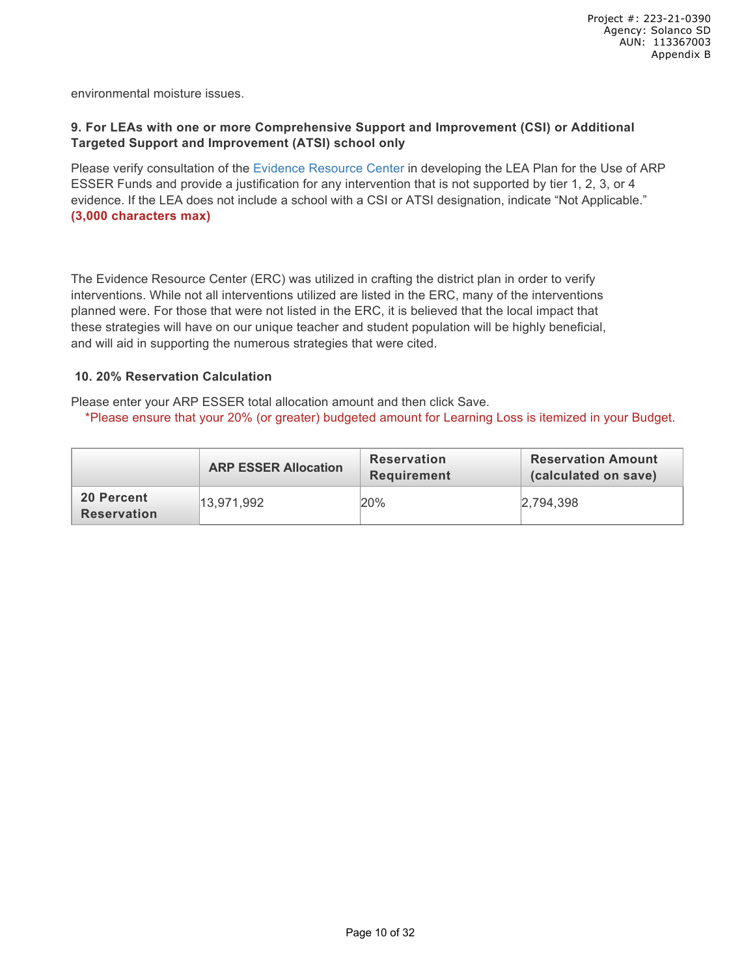environmental moisture issues.

#### **9. For LEAs with one or more Comprehensive Support and Improvement (CSI) or Additional Targeted Support and Improvement (ATSI) school only**

Please verify consultation of the [Evidence Resource Center](https://www.evidenceforpa.org/) in developing the LEA Plan for the Use of ARP ESSER Funds and provide a justification for any intervention that is not supported by tier 1, 2, 3, or 4 evidence. If the LEA does not include a school with a CSI or ATSI designation, indicate "Not Applicable." **(3,000 characters max)**

The Evidence Resource Center (ERC) was utilized in crafting the district plan in order to verify interventions. While not all interventions utilized are listed in the ERC, many of the interventions planned were. For those that were not listed in the ERC, it is believed that the local impact that these strategies will have on our unique teacher and student population will be highly beneficial, and will aid in supporting the numerous strategies that were cited.

#### **10. 20% Reservation Calculation**

Please enter your ARP ESSER total allocation amount and then click Save.

\*Please ensure that your 20% (or greater) budgeted amount for Learning Loss is itemized in your Budget.

|                                  | <b>ARP ESSER Allocation</b> | <b>Reservation</b><br>Requirement | <b>Reservation Amount</b><br>(calculated on save) |
|----------------------------------|-----------------------------|-----------------------------------|---------------------------------------------------|
| 20 Percent<br><b>Reservation</b> | 13,971,992                  | 20%                               | 2,794,398                                         |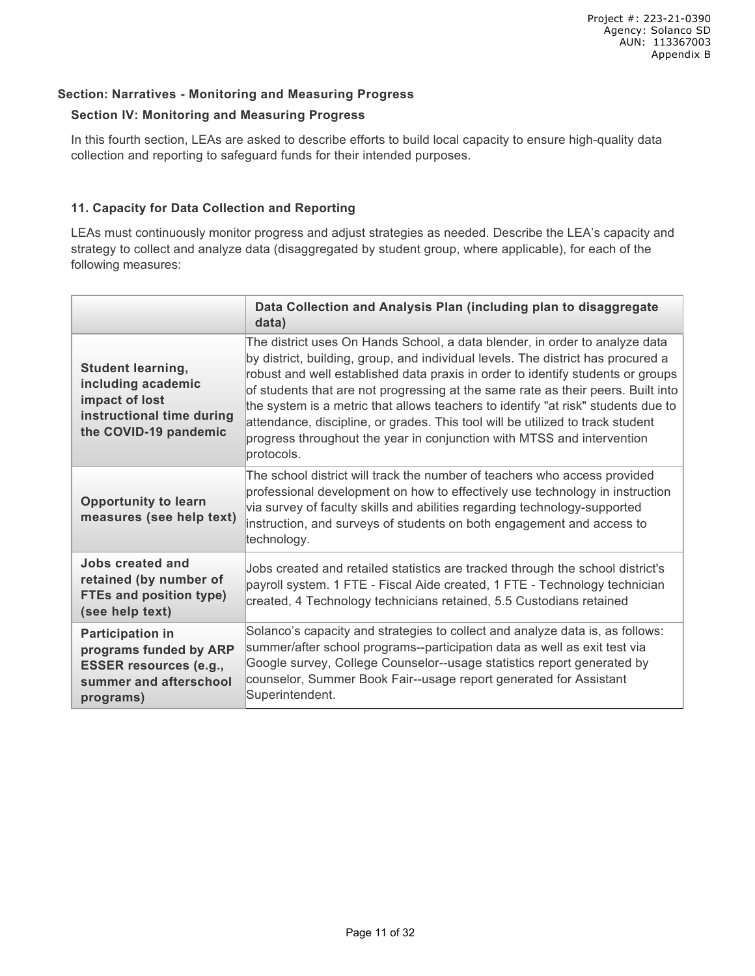### **Section: Narratives - Monitoring and Measuring Progress**

### **Section IV: Monitoring and Measuring Progress**

In this fourth section, LEAs are asked to describe efforts to build local capacity to ensure high-quality data collection and reporting to safeguard funds for their intended purposes.

### **11. Capacity for Data Collection and Reporting**

LEAs must continuously monitor progress and adjust strategies as needed. Describe the LEA's capacity and strategy to collect and analyze data (disaggregated by student group, where applicable), for each of the following measures:

|                                                                                                                           | Data Collection and Analysis Plan (including plan to disaggregate                                                                                                                                                                                                                                                                                                                                                                                                                                                                                                                                     |
|---------------------------------------------------------------------------------------------------------------------------|-------------------------------------------------------------------------------------------------------------------------------------------------------------------------------------------------------------------------------------------------------------------------------------------------------------------------------------------------------------------------------------------------------------------------------------------------------------------------------------------------------------------------------------------------------------------------------------------------------|
|                                                                                                                           | data)                                                                                                                                                                                                                                                                                                                                                                                                                                                                                                                                                                                                 |
| <b>Student learning,</b><br>including academic<br>impact of lost<br>instructional time during<br>the COVID-19 pandemic    | The district uses On Hands School, a data blender, in order to analyze data<br>by district, building, group, and individual levels. The district has procured a<br>robust and well established data praxis in order to identify students or groups<br>of students that are not progressing at the same rate as their peers. Built into<br>the system is a metric that allows teachers to identify "at risk" students due to<br>attendance, discipline, or grades. This tool will be utilized to track student<br>progress throughout the year in conjunction with MTSS and intervention<br>protocols. |
| <b>Opportunity to learn</b><br>measures (see help text)                                                                   | The school district will track the number of teachers who access provided<br>professional development on how to effectively use technology in instruction<br>via survey of faculty skills and abilities regarding technology-supported<br>instruction, and surveys of students on both engagement and access to<br>technology.                                                                                                                                                                                                                                                                        |
| Jobs created and<br>retained (by number of<br><b>FTEs and position type)</b><br>(see help text)                           | Jobs created and retailed statistics are tracked through the school district's<br>payroll system. 1 FTE - Fiscal Aide created, 1 FTE - Technology technician<br>created, 4 Technology technicians retained, 5.5 Custodians retained                                                                                                                                                                                                                                                                                                                                                                   |
| <b>Participation in</b><br>programs funded by ARP<br><b>ESSER resources (e.g.,</b><br>summer and afterschool<br>programs) | Solanco's capacity and strategies to collect and analyze data is, as follows:<br>summer/after school programs--participation data as well as exit test via<br>Google survey, College Counselor--usage statistics report generated by<br>counselor, Summer Book Fair--usage report generated for Assistant<br>Superintendent.                                                                                                                                                                                                                                                                          |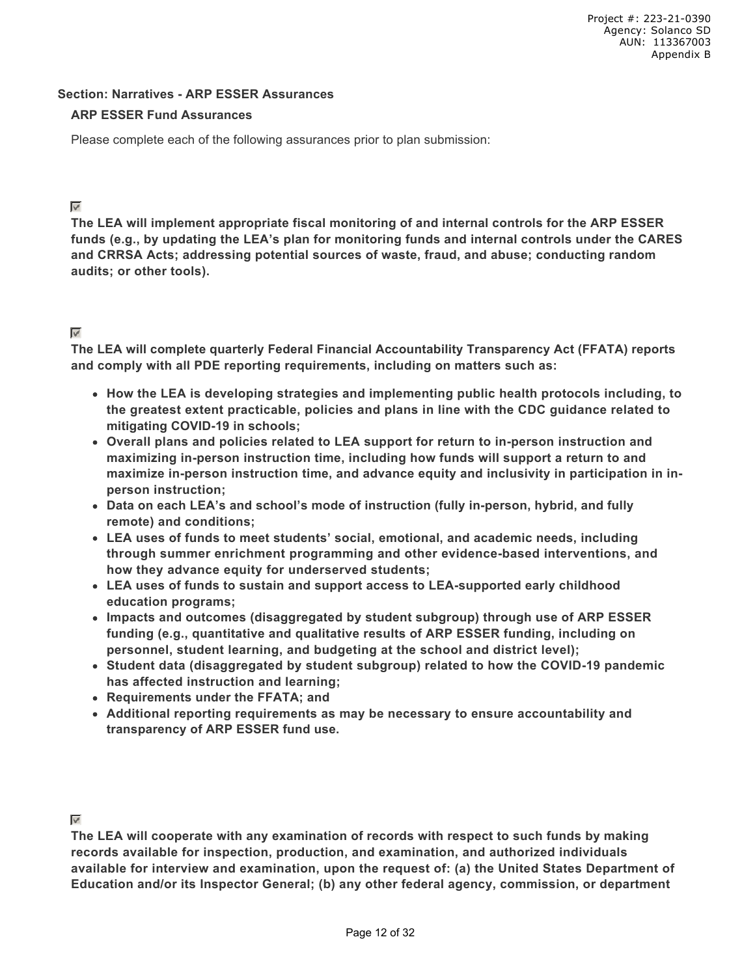#### **Section: Narratives - ARP ESSER Assurances**

#### **ARP ESSER Fund Assurances**

Please complete each of the following assurances prior to plan submission:

### $\overline{\mathbb{R}^d}$

**The LEA will implement appropriate fiscal monitoring of and internal controls for the ARP ESSER funds (e.g., by updating the LEA's plan for monitoring funds and internal controls under the CARES and CRRSA Acts; addressing potential sources of waste, fraud, and abuse; conducting random audits; or other tools).**

### $\overline{\mathscr{L}}$

**The LEA will complete quarterly Federal Financial Accountability Transparency Act (FFATA) reports and comply with all PDE reporting requirements, including on matters such as:**

- **How the LEA is developing strategies and implementing public health protocols including, to the greatest extent practicable, policies and plans in line with the CDC guidance related to mitigating COVID-19 in schools;**
- **Overall plans and policies related to LEA support for return to in-person instruction and maximizing in-person instruction time, including how funds will support a return to and maximize in-person instruction time, and advance equity and inclusivity in participation in inperson instruction;**
- **Data on each LEA's and school's mode of instruction (fully in-person, hybrid, and fully remote) and conditions;**
- **LEA uses of funds to meet students' social, emotional, and academic needs, including through summer enrichment programming and other evidence-based interventions, and how they advance equity for underserved students;**
- **LEA uses of funds to sustain and support access to LEA-supported early childhood education programs;**
- **Impacts and outcomes (disaggregated by student subgroup) through use of ARP ESSER funding (e.g., quantitative and qualitative results of ARP ESSER funding, including on personnel, student learning, and budgeting at the school and district level);**
- **Student data (disaggregated by student subgroup) related to how the COVID-19 pandemic has affected instruction and learning;**
- **Requirements under the FFATA; and**
- **Additional reporting requirements as may be necessary to ensure accountability and transparency of ARP ESSER fund use.**

#### $\omega^{\mu}$

**The LEA will cooperate with any examination of records with respect to such funds by making records available for inspection, production, and examination, and authorized individuals available for interview and examination, upon the request of: (a) the United States Department of Education and/or its Inspector General; (b) any other federal agency, commission, or department**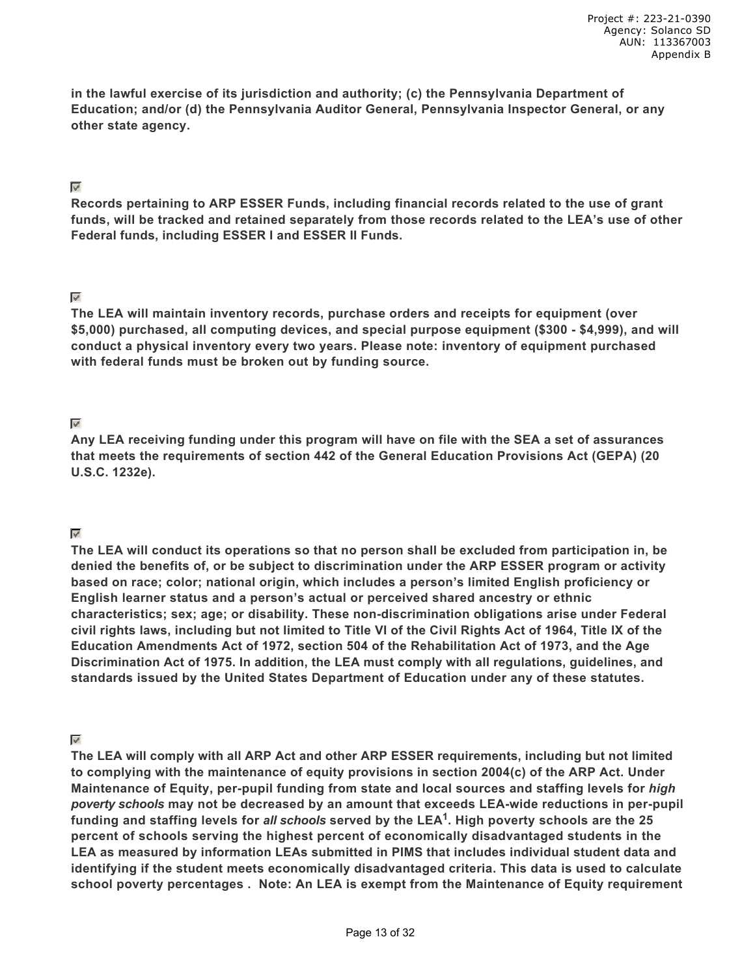**in the lawful exercise of its jurisdiction and authority; (c) the Pennsylvania Department of Education; and/or (d) the Pennsylvania Auditor General, Pennsylvania Inspector General, or any other state agency.**

#### $\overline{10^6}$

**Records pertaining to ARP ESSER Funds, including financial records related to the use of grant funds, will be tracked and retained separately from those records related to the LEA's use of other Federal funds, including ESSER I and ESSER II Funds.**

## **Ingeland**

**The LEA will maintain inventory records, purchase orders and receipts for equipment (over \$5,000) purchased, all computing devices, and special purpose equipment (\$300 - \$4,999), and will conduct a physical inventory every two years. Please note: inventory of equipment purchased with federal funds must be broken out by funding source.**

## $\mathbf{q}$

**Any LEA receiving funding under this program will have on file with the SEA a set of assurances that meets the requirements of section 442 of the General Education Provisions Act (GEPA) (20 U.S.C. 1232e).**

## **W**

**The LEA will conduct its operations so that no person shall be excluded from participation in, be denied the benefits of, or be subject to discrimination under the ARP ESSER program or activity based on race; color; national origin, which includes a person's limited English proficiency or English learner status and a person's actual or perceived shared ancestry or ethnic characteristics; sex; age; or disability. These non-discrimination obligations arise under Federal civil rights laws, including but not limited to Title VI of the Civil Rights Act of 1964, Title IX of the Education Amendments Act of 1972, section 504 of the Rehabilitation Act of 1973, and the Age Discrimination Act of 1975. In addition, the LEA must comply with all regulations, guidelines, and standards issued by the United States Department of Education under any of these statutes.**

### $\varphi^i$

**The LEA will comply with all ARP Act and other ARP ESSER requirements, including but not limited to complying with the maintenance of equity provisions in section 2004(c) of the ARP Act. Under Maintenance of Equity, per-pupil funding from state and local sources and staffing levels for** *high poverty schools* **may not be decreased by an amount that exceeds LEA-wide reductions in per-pupil** funding and staffing levels for *all schools* served by the LEA<sup>1</sup>. High poverty schools are the 25 **percent of schools serving the highest percent of economically disadvantaged students in the LEA as measured by information LEAs submitted in PIMS that includes individual student data and identifying if the student meets economically disadvantaged criteria. This data is used to calculate school poverty percentages . Note: An LEA is exempt from the Maintenance of Equity requirement**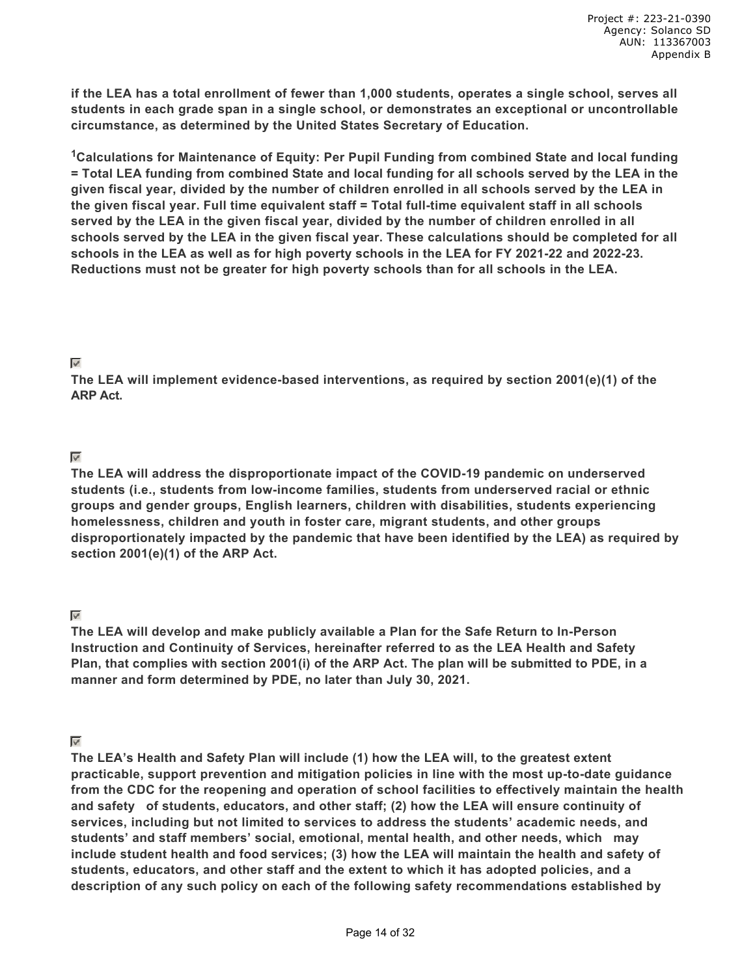**if the LEA has a total enrollment of fewer than 1,000 students, operates a single school, serves all students in each grade span in a single school, or demonstrates an exceptional or uncontrollable circumstance, as determined by the United States Secretary of Education.**

<sup>1</sup>Calculations for Maintenance of Equity: Per Pupil Funding from combined State and local funding **= Total LEA funding from combined State and local funding for all schools served by the LEA in the given fiscal year, divided by the number of children enrolled in all schools served by the LEA in the given fiscal year. Full time equivalent staff = Total full-time equivalent staff in all schools served by the LEA in the given fiscal year, divided by the number of children enrolled in all schools served by the LEA in the given fiscal year. These calculations should be completed for all schools in the LEA as well as for high poverty schools in the LEA for FY 2021-22 and 2022-23. Reductions must not be greater for high poverty schools than for all schools in the LEA.**

#### $\eta_{\rm eff}$

**The LEA will implement evidence-based interventions, as required by section 2001(e)(1) of the ARP Act.**

### $\epsilon_{\rm eff}$

**The LEA will address the disproportionate impact of the COVID-19 pandemic on underserved students (i.e., students from low-income families, students from underserved racial or ethnic groups and gender groups, English learners, children with disabilities, students experiencing homelessness, children and youth in foster care, migrant students, and other groups disproportionately impacted by the pandemic that have been identified by the LEA) as required by section 2001(e)(1) of the ARP Act.**

### $\eta_{\rm eff}$

**The LEA will develop and make publicly available a Plan for the Safe Return to In-Person Instruction and Continuity of Services, hereinafter referred to as the LEA Health and Safety Plan, that complies with section 2001(i) of the ARP Act. The plan will be submitted to PDE, in a manner and form determined by PDE, no later than July 30, 2021.** 

### **Ingel**

**The LEA's Health and Safety Plan will include (1) how the LEA will, to the greatest extent practicable, support prevention and mitigation policies in line with the most up-to-date guidance from the CDC for the reopening and operation of school facilities to effectively maintain the health and safety of students, educators, and other staff; (2) how the LEA will ensure continuity of services, including but not limited to services to address the students' academic needs, and students' and staff members' social, emotional, mental health, and other needs, which may include student health and food services; (3) how the LEA will maintain the health and safety of students, educators, and other staff and the extent to which it has adopted policies, and a description of any such policy on each of the following safety recommendations established by**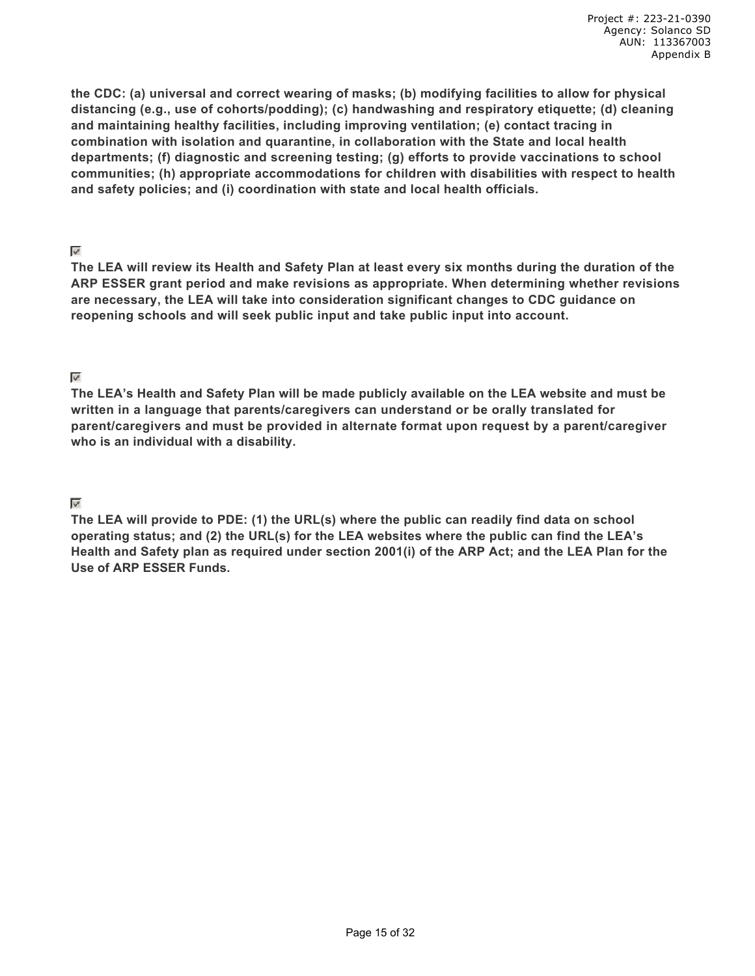**the CDC: (a) universal and correct wearing of masks; (b) modifying facilities to allow for physical distancing (e.g., use of cohorts/podding); (c) handwashing and respiratory etiquette; (d) cleaning and maintaining healthy facilities, including improving ventilation; (e) contact tracing in combination with isolation and quarantine, in collaboration with the State and local health departments; (f) diagnostic and screening testing; (g) efforts to provide vaccinations to school communities; (h) appropriate accommodations for children with disabilities with respect to health and safety policies; and (i) coordination with state and local health officials.**

### $\overline{\psi^{\prime}}$

**The LEA will review its Health and Safety Plan at least every six months during the duration of the ARP ESSER grant period and make revisions as appropriate. When determining whether revisions are necessary, the LEA will take into consideration significant changes to CDC guidance on reopening schools and will seek public input and take public input into account.**

## $\mathbf{q}$

**The LEA's Health and Safety Plan will be made publicly available on the LEA website and must be written in a language that parents/caregivers can understand or be orally translated for parent/caregivers and must be provided in alternate format upon request by a parent/caregiver who is an individual with a disability.**

### $\overline{\psi^{\prime}}$

**The LEA will provide to PDE: (1) the URL(s) where the public can readily find data on school operating status; and (2) the URL(s) for the LEA websites where the public can find the LEA's Health and Safety plan as required under section 2001(i) of the ARP Act; and the LEA Plan for the Use of ARP ESSER Funds.**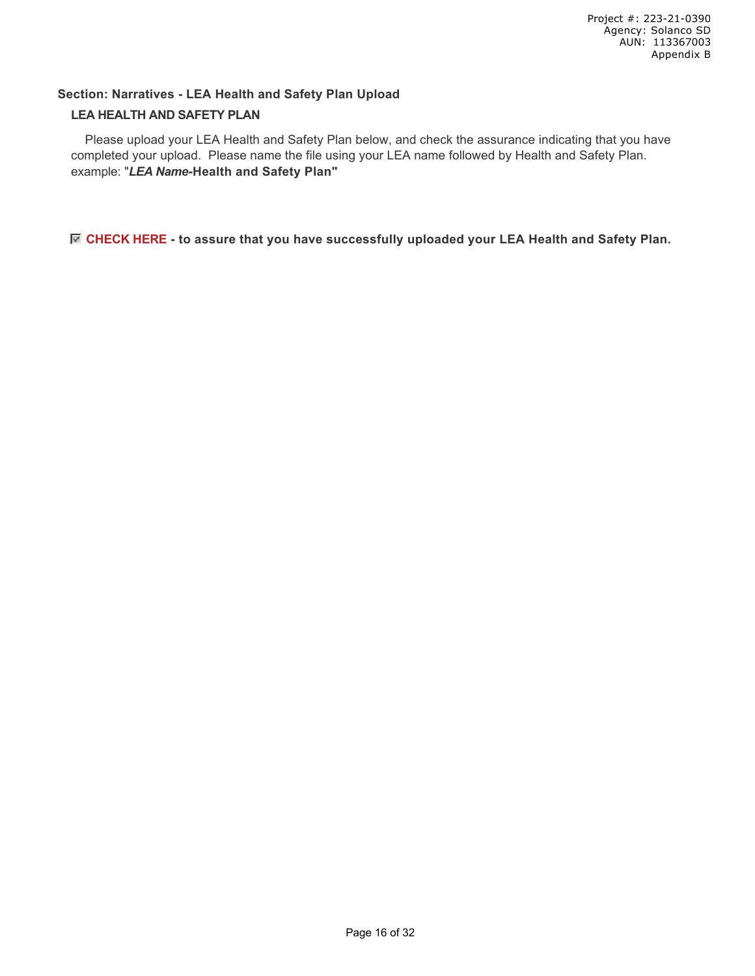# **Section: Narratives - LEA Health and Safety Plan Upload**

### **LEA HEALTH AND SAFETY PLAN**

 Please upload your LEA Health and Safety Plan below, and check the assurance indicating that you have completed your upload. Please name the file using your LEA name followed by Health and Safety Plan. example: "*LEA Name***-Health and Safety Plan"**

**CHECK HERE - to assure that you have successfully uploaded your LEA Health and Safety Plan.**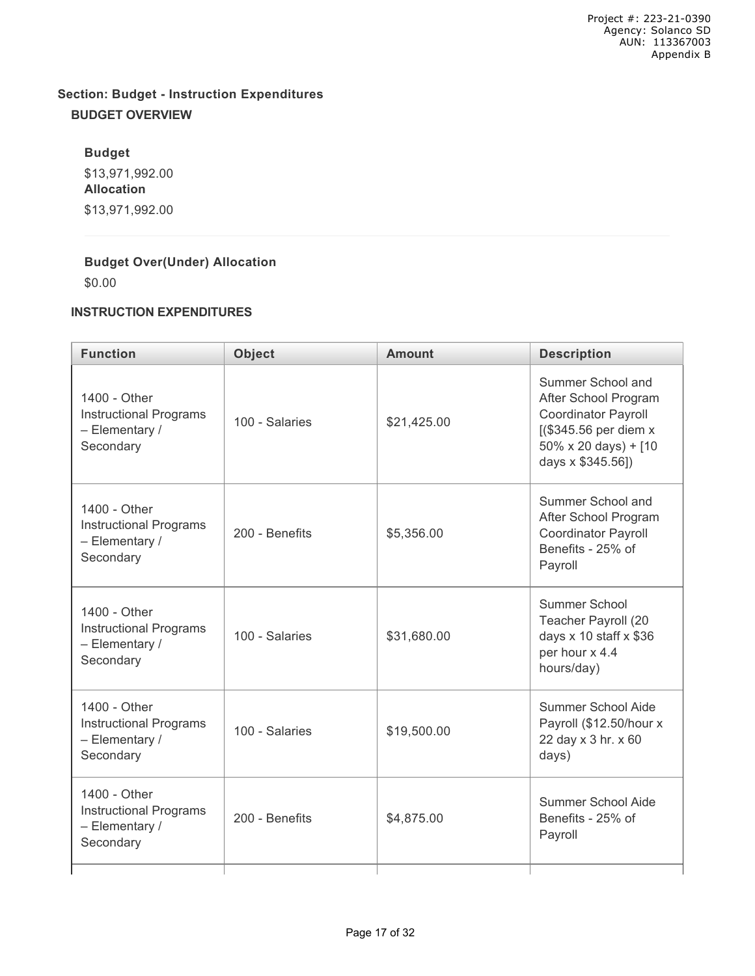# **Section: Budget - Instruction Expenditures BUDGET OVERVIEW**

**Budget** \$13,971,992.00 **Allocation** \$13,971,992.00

## **Budget Over(Under) Allocation**

\$0.00

### **INSTRUCTION EXPENDITURES**

| <b>Function</b>                                                                | <b>Object</b>  | <b>Amount</b> | <b>Description</b>                                                                                                                            |
|--------------------------------------------------------------------------------|----------------|---------------|-----------------------------------------------------------------------------------------------------------------------------------------------|
| 1400 - Other<br><b>Instructional Programs</b><br>$-$ Elementary /<br>Secondary | 100 - Salaries | \$21,425.00   | Summer School and<br>After School Program<br><b>Coordinator Payroll</b><br>[(\$345.56 per diem x<br>50% x 20 days) + [10<br>days x \$345.56]) |
| 1400 - Other<br><b>Instructional Programs</b><br>- Elementary /<br>Secondary   | 200 - Benefits | \$5,356.00    | Summer School and<br>After School Program<br><b>Coordinator Payroll</b><br>Benefits - 25% of<br>Payroll                                       |
| 1400 - Other<br><b>Instructional Programs</b><br>- Elementary /<br>Secondary   | 100 - Salaries | \$31,680.00   | Summer School<br>Teacher Payroll (20<br>days $x$ 10 staff $x$ \$36<br>per hour x 4.4<br>hours/day)                                            |
| 1400 - Other<br><b>Instructional Programs</b><br>- Elementary /<br>Secondary   | 100 - Salaries | \$19,500.00   | Summer School Aide<br>Payroll (\$12.50/hour x<br>22 day x 3 hr. x 60<br>days)                                                                 |
| 1400 - Other<br><b>Instructional Programs</b><br>$-$ Elementary /<br>Secondary | 200 - Benefits | \$4,875.00    | Summer School Aide<br>Benefits - 25% of<br>Payroll                                                                                            |
|                                                                                |                |               |                                                                                                                                               |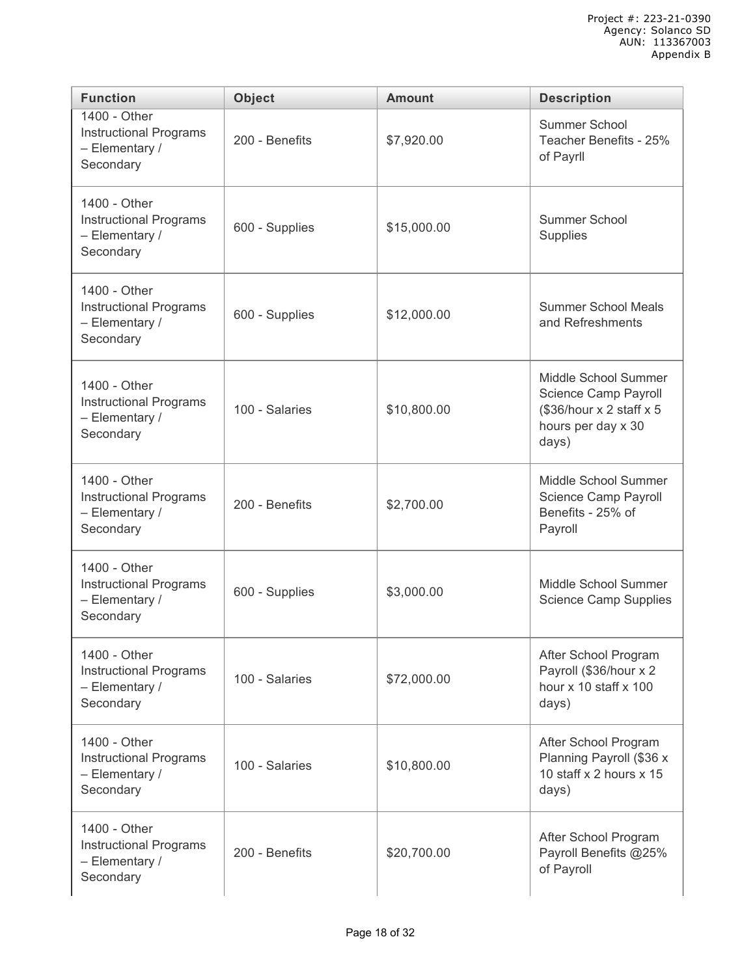| <b>Function</b>                                                              | <b>Object</b>  | <b>Amount</b> | <b>Description</b>                                                                                                 |
|------------------------------------------------------------------------------|----------------|---------------|--------------------------------------------------------------------------------------------------------------------|
| 1400 - Other<br><b>Instructional Programs</b><br>- Elementary /<br>Secondary | 200 - Benefits | \$7,920.00    | Summer School<br>Teacher Benefits - 25%<br>of Payrll                                                               |
| 1400 - Other<br><b>Instructional Programs</b><br>- Elementary /<br>Secondary | 600 - Supplies | \$15,000.00   | Summer School<br>Supplies                                                                                          |
| 1400 - Other<br><b>Instructional Programs</b><br>- Elementary /<br>Secondary | 600 - Supplies | \$12,000.00   | <b>Summer School Meals</b><br>and Refreshments                                                                     |
| 1400 - Other<br><b>Instructional Programs</b><br>- Elementary /<br>Secondary | 100 - Salaries | \$10,800.00   | Middle School Summer<br>Science Camp Payroll<br>$($36/hour \times 2 start \times 5$<br>hours per day x 30<br>days) |
| 1400 - Other<br><b>Instructional Programs</b><br>- Elementary /<br>Secondary | 200 - Benefits | \$2,700.00    | Middle School Summer<br>Science Camp Payroll<br>Benefits - 25% of<br>Payroll                                       |
| 1400 - Other<br><b>Instructional Programs</b><br>- Elementary /<br>Secondary | 600 - Supplies | \$3,000.00    | Middle School Summer<br><b>Science Camp Supplies</b>                                                               |
| 1400 - Other<br><b>Instructional Programs</b><br>- Elementary /<br>Secondary | 100 - Salaries | \$72,000.00   | After School Program<br>Payroll (\$36/hour x 2<br>hour $x$ 10 staff $x$ 100<br>days)                               |
| 1400 - Other<br><b>Instructional Programs</b><br>- Elementary /<br>Secondary | 100 - Salaries | \$10,800.00   | After School Program<br>Planning Payroll (\$36 x<br>10 staff $x$ 2 hours $x$ 15<br>days)                           |
| 1400 - Other<br><b>Instructional Programs</b><br>- Elementary /<br>Secondary | 200 - Benefits | \$20,700.00   | After School Program<br>Payroll Benefits @25%<br>of Payroll                                                        |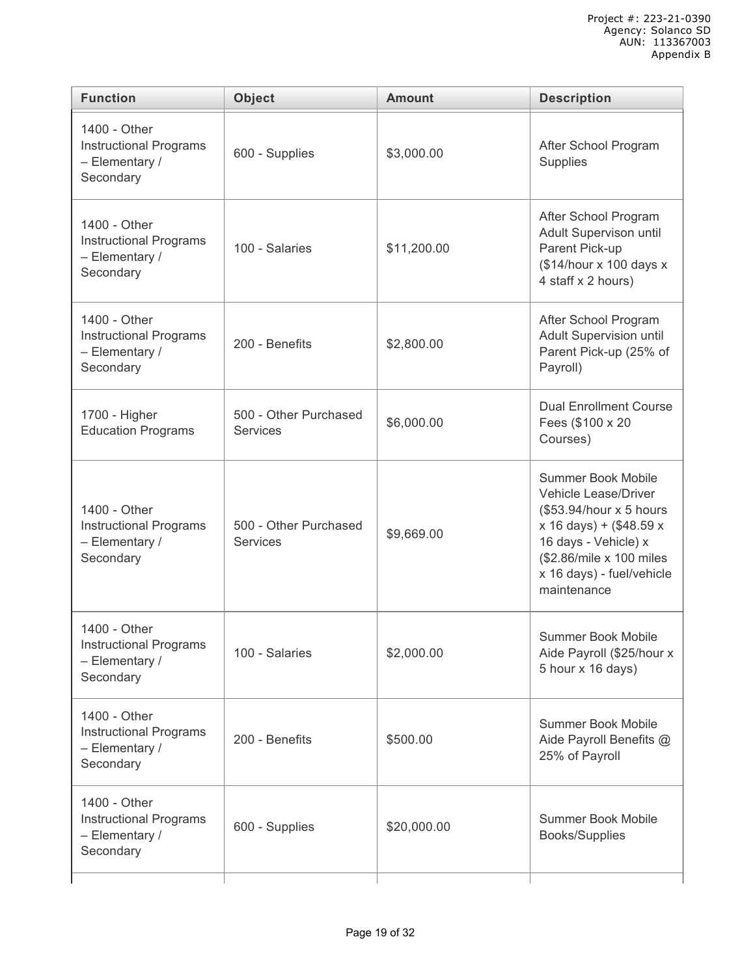| <b>Function</b>                                                                | <b>Object</b>                            | <b>Amount</b> | <b>Description</b>                                                                                                                                                                               |
|--------------------------------------------------------------------------------|------------------------------------------|---------------|--------------------------------------------------------------------------------------------------------------------------------------------------------------------------------------------------|
| 1400 - Other<br><b>Instructional Programs</b><br>- Elementary /<br>Secondary   | 600 - Supplies                           | \$3,000.00    | After School Program<br><b>Supplies</b>                                                                                                                                                          |
| 1400 - Other<br><b>Instructional Programs</b><br>- Elementary /<br>Secondary   | 100 - Salaries                           | \$11,200.00   | After School Program<br>Adult Supervison until<br>Parent Pick-up<br>(\$14/hour x 100 days x<br>4 staff x 2 hours)                                                                                |
| 1400 - Other<br><b>Instructional Programs</b><br>- Elementary /<br>Secondary   | 200 - Benefits                           | \$2,800.00    | After School Program<br>Adult Supervision until<br>Parent Pick-up (25% of<br>Payroll)                                                                                                            |
| 1700 - Higher<br><b>Education Programs</b>                                     | 500 - Other Purchased<br><b>Services</b> | \$6,000.00    | <b>Dual Enrollment Course</b><br>Fees (\$100 x 20<br>Courses)                                                                                                                                    |
| 1400 - Other<br><b>Instructional Programs</b><br>- Elementary /<br>Secondary   | 500 - Other Purchased<br><b>Services</b> | \$9,669.00    | Summer Book Mobile<br>Vehicle Lease/Driver<br>(\$53.94/hour x 5 hours<br>x 16 days) + (\$48.59 x<br>16 days - Vehicle) x<br>(\$2.86/mile x 100 miles<br>x 16 days) - fuel/vehicle<br>maintenance |
| 1400 - Other<br><b>Instructional Programs</b><br>$-$ Elementary /<br>Secondary | 100 - Salaries                           | \$2,000.00    | Summer Book Mobile<br>Aide Payroll (\$25/hour x<br>5 hour x 16 days)                                                                                                                             |
| 1400 - Other<br><b>Instructional Programs</b><br>$-$ Elementary /<br>Secondary | 200 - Benefits                           | \$500.00      | Summer Book Mobile<br>Aide Payroll Benefits @<br>25% of Payroll                                                                                                                                  |
| 1400 - Other<br><b>Instructional Programs</b><br>$-$ Elementary /<br>Secondary | 600 - Supplies                           | \$20,000.00   | Summer Book Mobile<br>Books/Supplies                                                                                                                                                             |
|                                                                                |                                          |               |                                                                                                                                                                                                  |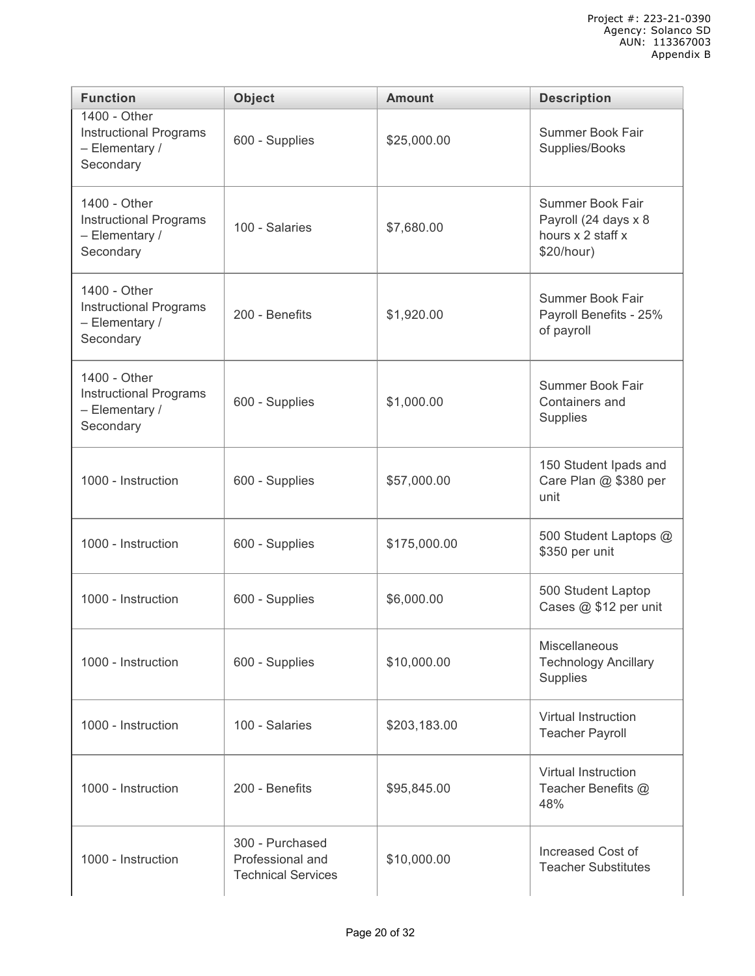| <b>Function</b>                                                              | <b>Object</b>                                                    | <b>Amount</b> | <b>Description</b>                                                          |
|------------------------------------------------------------------------------|------------------------------------------------------------------|---------------|-----------------------------------------------------------------------------|
| 1400 - Other<br><b>Instructional Programs</b><br>- Elementary /<br>Secondary | 600 - Supplies                                                   | \$25,000.00   | Summer Book Fair<br>Supplies/Books                                          |
| 1400 - Other<br><b>Instructional Programs</b><br>- Elementary /<br>Secondary | 100 - Salaries                                                   | \$7,680.00    | Summer Book Fair<br>Payroll (24 days x 8<br>hours x 2 staff x<br>\$20/hour) |
| 1400 - Other<br><b>Instructional Programs</b><br>- Elementary /<br>Secondary | 200 - Benefits                                                   | \$1,920.00    | Summer Book Fair<br>Payroll Benefits - 25%<br>of payroll                    |
| 1400 - Other<br><b>Instructional Programs</b><br>- Elementary /<br>Secondary | 600 - Supplies                                                   | \$1,000.00    | Summer Book Fair<br>Containers and<br>Supplies                              |
| 1000 - Instruction                                                           | 600 - Supplies                                                   | \$57,000.00   | 150 Student Ipads and<br>Care Plan @ \$380 per<br>unit                      |
| 1000 - Instruction                                                           | 600 - Supplies                                                   | \$175,000.00  | 500 Student Laptops @<br>\$350 per unit                                     |
| 1000 - Instruction                                                           | 600 - Supplies                                                   | \$6,000.00    | 500 Student Laptop<br>Cases @ \$12 per unit                                 |
| 1000 - Instruction                                                           | 600 - Supplies                                                   | \$10,000.00   | Miscellaneous<br><b>Technology Ancillary</b><br>Supplies                    |
| 1000 - Instruction                                                           | 100 - Salaries                                                   | \$203,183.00  | Virtual Instruction<br><b>Teacher Payroll</b>                               |
| 1000 - Instruction                                                           | 200 - Benefits                                                   | \$95,845.00   | Virtual Instruction<br>Teacher Benefits @<br>48%                            |
| 1000 - Instruction                                                           | 300 - Purchased<br>Professional and<br><b>Technical Services</b> | \$10,000.00   | Increased Cost of<br><b>Teacher Substitutes</b>                             |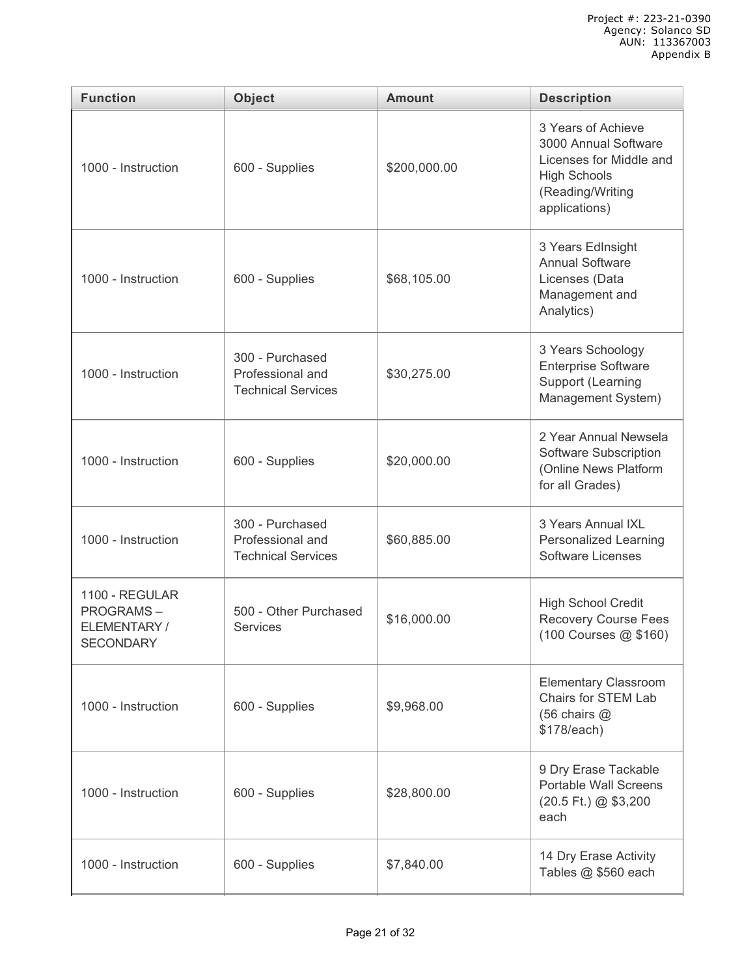| <b>Function</b>                                                 | <b>Object</b>                                                    | <b>Amount</b> | <b>Description</b>                                                                                                                |
|-----------------------------------------------------------------|------------------------------------------------------------------|---------------|-----------------------------------------------------------------------------------------------------------------------------------|
| 1000 - Instruction                                              | 600 - Supplies                                                   | \$200,000.00  | 3 Years of Achieve<br>3000 Annual Software<br>Licenses for Middle and<br><b>High Schools</b><br>(Reading/Writing<br>applications) |
| 1000 - Instruction                                              | 600 - Supplies                                                   | \$68,105.00   | 3 Years EdInsight<br><b>Annual Software</b><br>Licenses (Data<br>Management and<br>Analytics)                                     |
| 1000 - Instruction                                              | 300 - Purchased<br>Professional and<br><b>Technical Services</b> | \$30,275.00   | 3 Years Schoology<br><b>Enterprise Software</b><br>Support (Learning<br>Management System)                                        |
| 1000 - Instruction                                              | 600 - Supplies                                                   | \$20,000.00   | 2 Year Annual Newsela<br>Software Subscription<br>(Online News Platform<br>for all Grades)                                        |
| 1000 - Instruction                                              | 300 - Purchased<br>Professional and<br><b>Technical Services</b> | \$60,885.00   | 3 Years Annual IXL<br>Personalized Learning<br><b>Software Licenses</b>                                                           |
| 1100 - REGULAR<br>PROGRAMS-<br>ELEMENTARY /<br><b>SECONDARY</b> | 500 - Other Purchased<br><b>Services</b>                         | \$16,000.00   | <b>High School Credit</b><br><b>Recovery Course Fees</b><br>(100 Courses @ \$160)                                                 |
| 1000 - Instruction                                              | 600 - Supplies                                                   | \$9,968.00    | <b>Elementary Classroom</b><br>Chairs for STEM Lab<br>(56 chairs @<br>\$178/each)                                                 |
| 1000 - Instruction                                              | 600 - Supplies                                                   | \$28,800.00   | 9 Dry Erase Tackable<br>Portable Wall Screens<br>(20.5 Ft.) @ \$3,200<br>each                                                     |
| 1000 - Instruction                                              | 600 - Supplies                                                   | \$7,840.00    | 14 Dry Erase Activity<br>Tables @ \$560 each                                                                                      |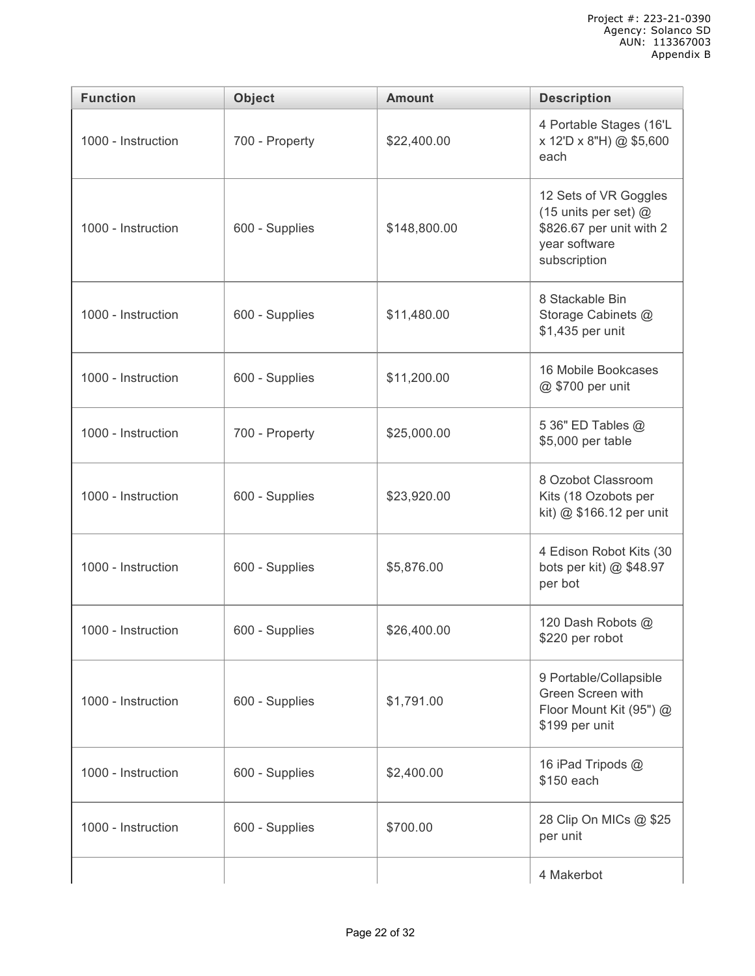| <b>Function</b>    | <b>Object</b>  | <b>Amount</b> | <b>Description</b>                                                                                           |
|--------------------|----------------|---------------|--------------------------------------------------------------------------------------------------------------|
| 1000 - Instruction | 700 - Property | \$22,400.00   | 4 Portable Stages (16'L<br>x 12'D x 8"H) @ \$5,600<br>each                                                   |
| 1000 - Instruction | 600 - Supplies | \$148,800.00  | 12 Sets of VR Goggles<br>(15 units per set) $@$<br>\$826.67 per unit with 2<br>year software<br>subscription |
| 1000 - Instruction | 600 - Supplies | \$11,480.00   | 8 Stackable Bin<br>Storage Cabinets @<br>\$1,435 per unit                                                    |
| 1000 - Instruction | 600 - Supplies | \$11,200.00   | 16 Mobile Bookcases<br>@ \$700 per unit                                                                      |
| 1000 - Instruction | 700 - Property | \$25,000.00   | 5 36" ED Tables @<br>\$5,000 per table                                                                       |
| 1000 - Instruction | 600 - Supplies | \$23,920.00   | 8 Ozobot Classroom<br>Kits (18 Ozobots per<br>kit) @ \$166.12 per unit                                       |
| 1000 - Instruction | 600 - Supplies | \$5,876.00    | 4 Edison Robot Kits (30<br>bots per kit) @ \$48.97<br>per bot                                                |
| 1000 - Instruction | 600 - Supplies | \$26,400.00   | 120 Dash Robots @<br>\$220 per robot                                                                         |
| 1000 - Instruction | 600 - Supplies | \$1,791.00    | 9 Portable/Collapsible<br>Green Screen with<br>Floor Mount Kit (95") @<br>\$199 per unit                     |
| 1000 - Instruction | 600 - Supplies | \$2,400.00    | 16 iPad Tripods @<br>\$150 each                                                                              |
| 1000 - Instruction | 600 - Supplies | \$700.00      | 28 Clip On MICs @ \$25<br>per unit                                                                           |
|                    |                |               | 4 Makerbot                                                                                                   |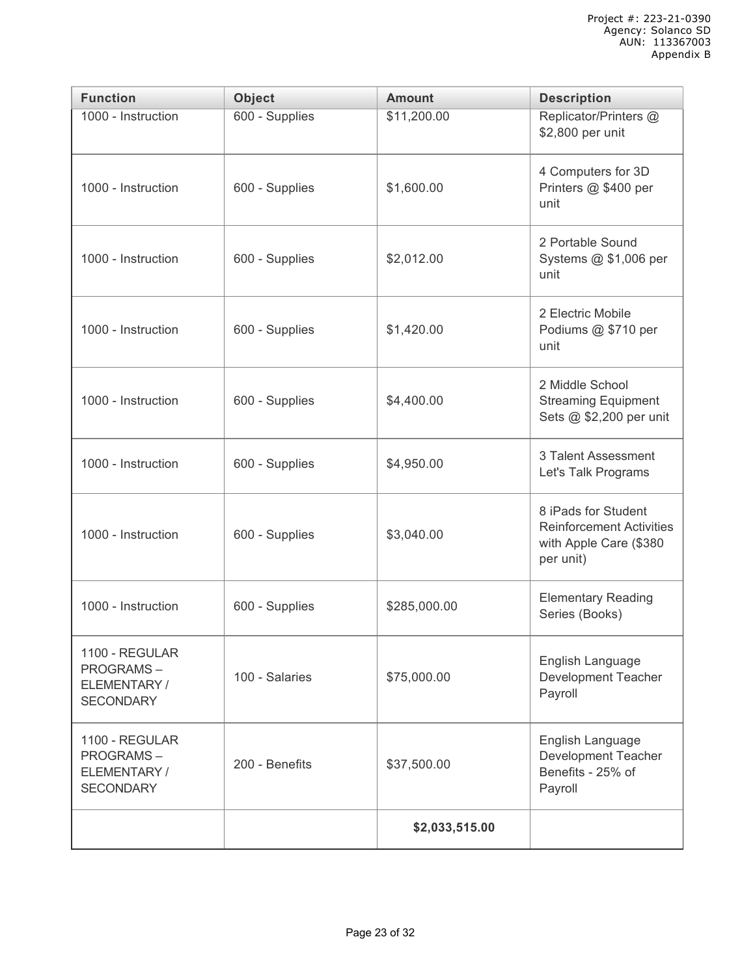| <b>Function</b>                                                        | <b>Object</b>  | <b>Amount</b>  | <b>Description</b>                                                                            |
|------------------------------------------------------------------------|----------------|----------------|-----------------------------------------------------------------------------------------------|
| 1000 - Instruction                                                     | 600 - Supplies | \$11,200.00    | Replicator/Printers @<br>\$2,800 per unit                                                     |
| 1000 - Instruction                                                     | 600 - Supplies | \$1,600.00     | 4 Computers for 3D<br>Printers @ \$400 per<br>unit                                            |
| 1000 - Instruction                                                     | 600 - Supplies | \$2,012.00     | 2 Portable Sound<br>Systems @ \$1,006 per<br>unit                                             |
| 1000 - Instruction                                                     | 600 - Supplies | \$1,420.00     | 2 Electric Mobile<br>Podiums @ \$710 per<br>unit                                              |
| 1000 - Instruction                                                     | 600 - Supplies | \$4,400.00     | 2 Middle School<br><b>Streaming Equipment</b><br>Sets @ \$2,200 per unit                      |
| 1000 - Instruction                                                     | 600 - Supplies | \$4,950.00     | 3 Talent Assessment<br>Let's Talk Programs                                                    |
| 1000 - Instruction                                                     | 600 - Supplies | \$3,040.00     | 8 iPads for Student<br><b>Reinforcement Activities</b><br>with Apple Care (\$380<br>per unit) |
| 1000 - Instruction                                                     | 600 - Supplies | \$285,000.00   | <b>Elementary Reading</b><br>Series (Books)                                                   |
| 1100 - REGULAR<br><b>PROGRAMS-</b><br>ELEMENTARY /<br><b>SECONDARY</b> | 100 - Salaries | \$75,000.00    | English Language<br>Development Teacher<br>Payroll                                            |
| 1100 - REGULAR<br><b>PROGRAMS-</b><br>ELEMENTARY /<br><b>SECONDARY</b> | 200 - Benefits | \$37,500.00    | English Language<br>Development Teacher<br>Benefits - 25% of<br>Payroll                       |
|                                                                        |                | \$2,033,515.00 |                                                                                               |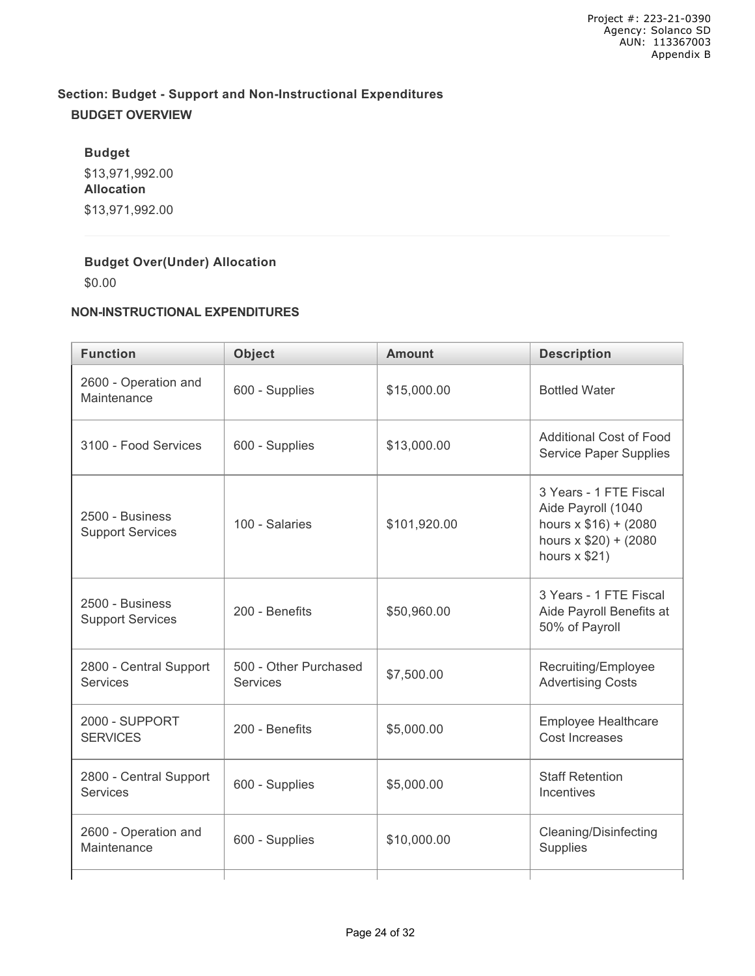# **Section: Budget - Support and Non-Instructional Expenditures BUDGET OVERVIEW**

**Budget** \$13,971,992.00 **Allocation** \$13,971,992.00

### **Budget Over(Under) Allocation**

\$0.00

### **NON-INSTRUCTIONAL EXPENDITURES**

| <b>Function</b>                            | <b>Object</b>                            | <b>Amount</b> | <b>Description</b>                                                                                                  |
|--------------------------------------------|------------------------------------------|---------------|---------------------------------------------------------------------------------------------------------------------|
| 2600 - Operation and<br>Maintenance        | 600 - Supplies                           | \$15,000.00   | <b>Bottled Water</b>                                                                                                |
| 3100 - Food Services                       | 600 - Supplies                           | \$13,000.00   | <b>Additional Cost of Food</b><br><b>Service Paper Supplies</b>                                                     |
| 2500 - Business<br><b>Support Services</b> | 100 - Salaries                           | \$101,920.00  | 3 Years - 1 FTE Fiscal<br>Aide Payroll (1040<br>hours $x $16$ ) + (2080<br>hours x \$20) + (2080<br>hours $x $21$ ) |
| 2500 - Business<br><b>Support Services</b> | 200 - Benefits                           | \$50,960.00   | 3 Years - 1 FTE Fiscal<br>Aide Payroll Benefits at<br>50% of Payroll                                                |
| 2800 - Central Support<br>Services         | 500 - Other Purchased<br><b>Services</b> | \$7,500.00    | Recruiting/Employee<br><b>Advertising Costs</b>                                                                     |
| 2000 - SUPPORT<br><b>SERVICES</b>          | 200 - Benefits                           | \$5,000.00    | <b>Employee Healthcare</b><br><b>Cost Increases</b>                                                                 |
| 2800 - Central Support<br>Services         | 600 - Supplies                           | \$5,000.00    | <b>Staff Retention</b><br>Incentives                                                                                |
| 2600 - Operation and<br>Maintenance        | 600 - Supplies                           | \$10,000.00   | Cleaning/Disinfecting<br><b>Supplies</b>                                                                            |
|                                            |                                          |               |                                                                                                                     |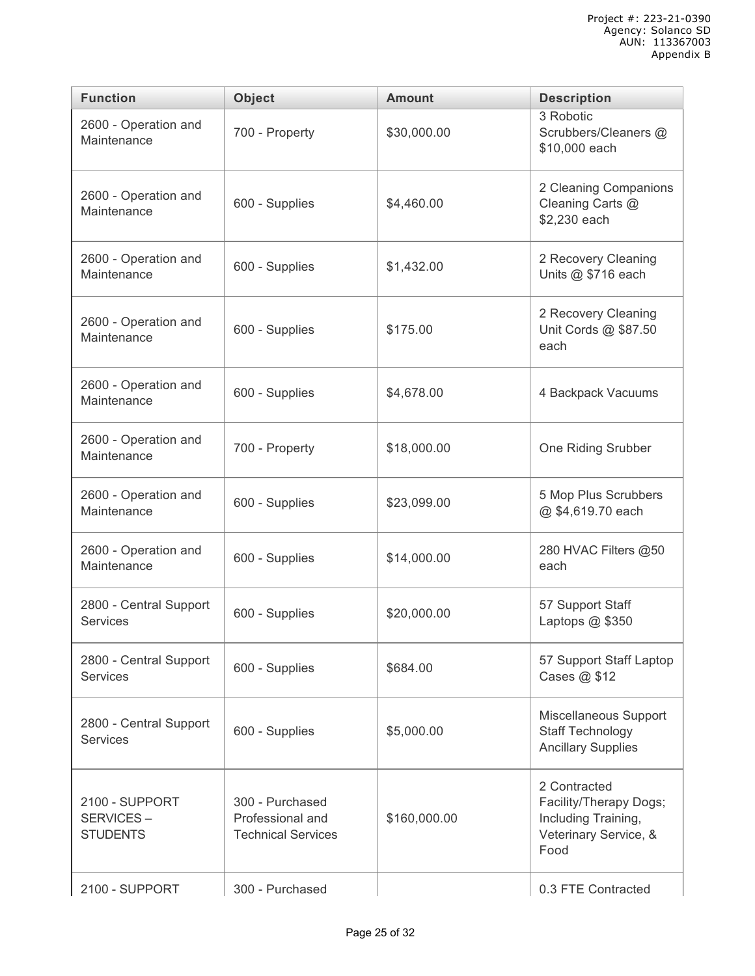| <b>Function</b>                                | <b>Object</b>                                                    | <b>Amount</b> | <b>Description</b>                                                                             |
|------------------------------------------------|------------------------------------------------------------------|---------------|------------------------------------------------------------------------------------------------|
| 2600 - Operation and<br>Maintenance            | 700 - Property                                                   | \$30,000.00   | 3 Robotic<br>Scrubbers/Cleaners @<br>\$10,000 each                                             |
| 2600 - Operation and<br>Maintenance            | 600 - Supplies                                                   | \$4,460.00    | 2 Cleaning Companions<br>Cleaning Carts @<br>\$2,230 each                                      |
| 2600 - Operation and<br>Maintenance            | 600 - Supplies                                                   | \$1,432.00    | 2 Recovery Cleaning<br>Units @ \$716 each                                                      |
| 2600 - Operation and<br>Maintenance            | 600 - Supplies                                                   | \$175.00      | 2 Recovery Cleaning<br>Unit Cords @ \$87.50<br>each                                            |
| 2600 - Operation and<br>Maintenance            | 600 - Supplies                                                   | \$4,678.00    | 4 Backpack Vacuums                                                                             |
| 2600 - Operation and<br>Maintenance            | 700 - Property                                                   | \$18,000.00   | One Riding Srubber                                                                             |
| 2600 - Operation and<br>Maintenance            | 600 - Supplies                                                   | \$23,099.00   | 5 Mop Plus Scrubbers<br>@ \$4,619.70 each                                                      |
| 2600 - Operation and<br>Maintenance            | 600 - Supplies                                                   | \$14,000.00   | 280 HVAC Filters @50<br>each                                                                   |
| 2800 - Central Support<br><b>Services</b>      | 600 - Supplies                                                   | \$20,000.00   | 57 Support Staff<br>Laptops @ \$350                                                            |
| 2800 - Central Support<br><b>Services</b>      | 600 - Supplies                                                   | \$684.00      | 57 Support Staff Laptop<br>Cases @ \$12                                                        |
| 2800 - Central Support<br><b>Services</b>      | 600 - Supplies                                                   | \$5,000.00    | Miscellaneous Support<br><b>Staff Technology</b><br><b>Ancillary Supplies</b>                  |
| 2100 - SUPPORT<br>SERVICES-<br><b>STUDENTS</b> | 300 - Purchased<br>Professional and<br><b>Technical Services</b> | \$160,000.00  | 2 Contracted<br>Facility/Therapy Dogs;<br>Including Training,<br>Veterinary Service, &<br>Food |
| 2100 - SUPPORT                                 | 300 - Purchased                                                  |               | 0.3 FTE Contracted                                                                             |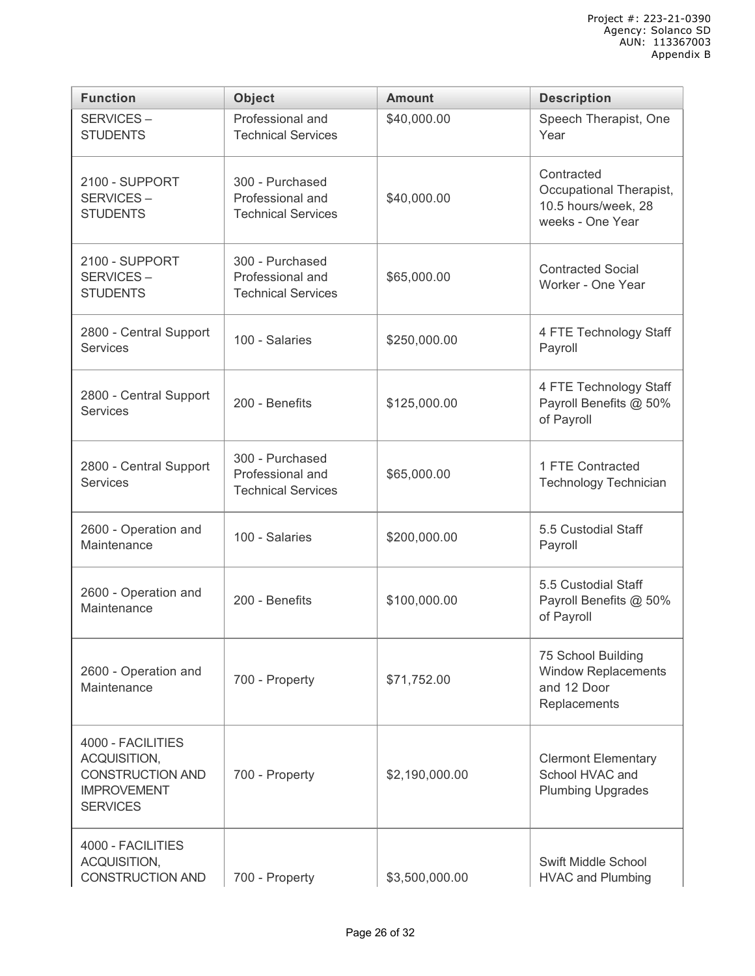| <b>Function</b>                                                                                       | <b>Object</b>                                                    | <b>Amount</b>  | <b>Description</b>                                                               |
|-------------------------------------------------------------------------------------------------------|------------------------------------------------------------------|----------------|----------------------------------------------------------------------------------|
| SERVICES-<br><b>STUDENTS</b>                                                                          | Professional and<br><b>Technical Services</b>                    | \$40,000.00    | Speech Therapist, One<br>Year                                                    |
| 2100 - SUPPORT<br>SERVICES-<br><b>STUDENTS</b>                                                        | 300 - Purchased<br>Professional and<br><b>Technical Services</b> | \$40,000.00    | Contracted<br>Occupational Therapist,<br>10.5 hours/week, 28<br>weeks - One Year |
| 2100 - SUPPORT<br>SERVICES-<br><b>STUDENTS</b>                                                        | 300 - Purchased<br>Professional and<br><b>Technical Services</b> | \$65,000.00    | <b>Contracted Social</b><br>Worker - One Year                                    |
| 2800 - Central Support<br><b>Services</b>                                                             | 100 - Salaries                                                   | \$250,000.00   | 4 FTE Technology Staff<br>Payroll                                                |
| 2800 - Central Support<br><b>Services</b>                                                             | 200 - Benefits                                                   | \$125,000.00   | 4 FTE Technology Staff<br>Payroll Benefits @ 50%<br>of Payroll                   |
| 2800 - Central Support<br><b>Services</b>                                                             | 300 - Purchased<br>Professional and<br><b>Technical Services</b> | \$65,000.00    | 1 FTE Contracted<br><b>Technology Technician</b>                                 |
| 2600 - Operation and<br>Maintenance                                                                   | 100 - Salaries                                                   | \$200,000.00   | 5.5 Custodial Staff<br>Payroll                                                   |
| 2600 - Operation and<br>Maintenance                                                                   | 200 - Benefits                                                   | \$100,000.00   | 5.5 Custodial Staff<br>Payroll Benefits @ 50%<br>of Payroll                      |
| 2600 - Operation and<br>Maintenance                                                                   | 700 - Property                                                   | \$71,752.00    | 75 School Building<br><b>Window Replacements</b><br>and 12 Door<br>Replacements  |
| 4000 - FACILITIES<br>ACQUISITION,<br><b>CONSTRUCTION AND</b><br><b>IMPROVEMENT</b><br><b>SERVICES</b> | 700 - Property                                                   | \$2,190,000.00 | <b>Clermont Elementary</b><br>School HVAC and<br><b>Plumbing Upgrades</b>        |
| 4000 - FACILITIES<br>ACQUISITION,<br><b>CONSTRUCTION AND</b>                                          | 700 - Property                                                   | \$3,500,000.00 | Swift Middle School<br><b>HVAC and Plumbing</b>                                  |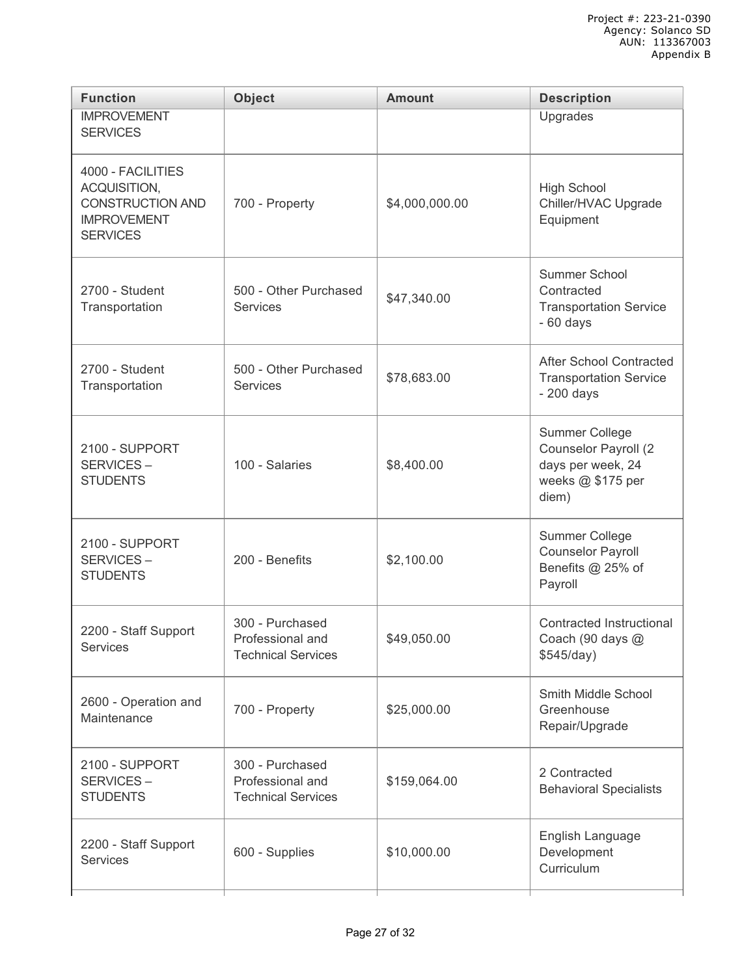| <b>Function</b>                                                                                       | <b>Object</b>                                                    | <b>Amount</b>  | <b>Description</b>                                                                        |
|-------------------------------------------------------------------------------------------------------|------------------------------------------------------------------|----------------|-------------------------------------------------------------------------------------------|
| <b>IMPROVEMENT</b><br><b>SERVICES</b>                                                                 |                                                                  |                | Upgrades                                                                                  |
| 4000 - FACILITIES<br>ACQUISITION,<br><b>CONSTRUCTION AND</b><br><b>IMPROVEMENT</b><br><b>SERVICES</b> | 700 - Property                                                   | \$4,000,000.00 | <b>High School</b><br>Chiller/HVAC Upgrade<br>Equipment                                   |
| 2700 - Student<br>Transportation                                                                      | 500 - Other Purchased<br><b>Services</b>                         | \$47,340.00    | Summer School<br>Contracted<br><b>Transportation Service</b><br>$-60$ days                |
| 2700 - Student<br>Transportation                                                                      | 500 - Other Purchased<br><b>Services</b>                         | \$78,683.00    | <b>After School Contracted</b><br><b>Transportation Service</b><br>$-200$ days            |
| 2100 - SUPPORT<br>SERVICES-<br><b>STUDENTS</b>                                                        | 100 - Salaries                                                   | \$8,400.00     | Summer College<br>Counselor Payroll (2<br>days per week, 24<br>weeks @ \$175 per<br>diem) |
| 2100 - SUPPORT<br>SERVICES-<br><b>STUDENTS</b>                                                        | 200 - Benefits                                                   | \$2,100.00     | Summer College<br><b>Counselor Payroll</b><br>Benefits @ 25% of<br>Payroll                |
| 2200 - Staff Support<br><b>Services</b>                                                               | 300 - Purchased<br>Professional and<br><b>Technical Services</b> | \$49,050.00    | Contracted Instructional<br>Coach (90 days @<br>\$545/day)                                |
| 2600 - Operation and<br>Maintenance                                                                   | 700 - Property                                                   | \$25,000.00    | Smith Middle School<br>Greenhouse<br>Repair/Upgrade                                       |
| 2100 - SUPPORT<br>SERVICES-<br><b>STUDENTS</b>                                                        | 300 - Purchased<br>Professional and<br><b>Technical Services</b> | \$159,064.00   | 2 Contracted<br><b>Behavioral Specialists</b>                                             |
| 2200 - Staff Support<br><b>Services</b>                                                               | 600 - Supplies                                                   | \$10,000.00    | English Language<br>Development<br>Curriculum                                             |
|                                                                                                       |                                                                  |                |                                                                                           |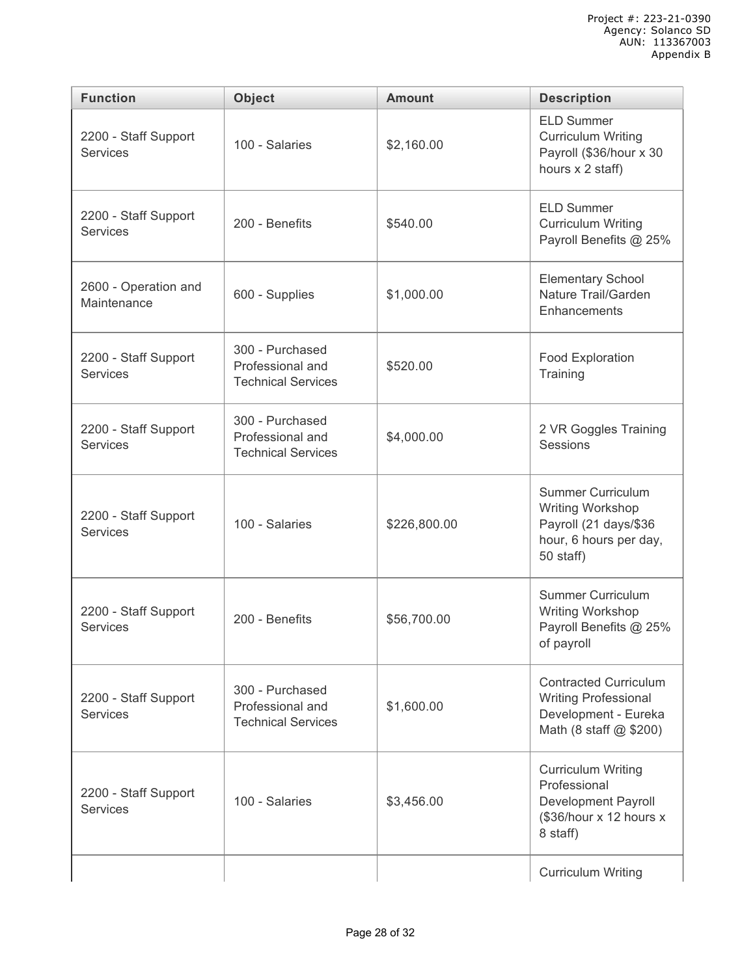| <b>Function</b>                         | <b>Object</b>                                                    | <b>Amount</b> | <b>Description</b>                                                                                             |
|-----------------------------------------|------------------------------------------------------------------|---------------|----------------------------------------------------------------------------------------------------------------|
| 2200 - Staff Support<br><b>Services</b> | 100 - Salaries                                                   | \$2,160.00    | <b>ELD Summer</b><br><b>Curriculum Writing</b><br>Payroll (\$36/hour x 30<br>hours x 2 staff)                  |
| 2200 - Staff Support<br><b>Services</b> | 200 - Benefits                                                   | \$540.00      | <b>ELD Summer</b><br><b>Curriculum Writing</b><br>Payroll Benefits @ 25%                                       |
| 2600 - Operation and<br>Maintenance     | 600 - Supplies                                                   | \$1,000.00    | <b>Elementary School</b><br>Nature Trail/Garden<br>Enhancements                                                |
| 2200 - Staff Support<br><b>Services</b> | 300 - Purchased<br>Professional and<br><b>Technical Services</b> | \$520.00      | <b>Food Exploration</b><br>Training                                                                            |
| 2200 - Staff Support<br><b>Services</b> | 300 - Purchased<br>Professional and<br><b>Technical Services</b> | \$4,000.00    | 2 VR Goggles Training<br>Sessions                                                                              |
| 2200 - Staff Support<br><b>Services</b> | 100 - Salaries                                                   | \$226,800.00  | Summer Curriculum<br>Writing Workshop<br>Payroll (21 days/\$36<br>hour, 6 hours per day,<br>50 staff)          |
| 2200 - Staff Support<br><b>Services</b> | 200 - Benefits                                                   | \$56,700.00   | Summer Curriculum<br>Writing Workshop<br>Payroll Benefits @ 25%<br>of payroll                                  |
| 2200 - Staff Support<br><b>Services</b> | 300 - Purchased<br>Professional and<br><b>Technical Services</b> | \$1,600.00    | <b>Contracted Curriculum</b><br><b>Writing Professional</b><br>Development - Eureka<br>Math (8 staff @ \$200)  |
| 2200 - Staff Support<br><b>Services</b> | 100 - Salaries                                                   | \$3,456.00    | <b>Curriculum Writing</b><br>Professional<br><b>Development Payroll</b><br>(\$36/hour x 12 hours x<br>8 staff) |
|                                         |                                                                  |               | <b>Curriculum Writing</b>                                                                                      |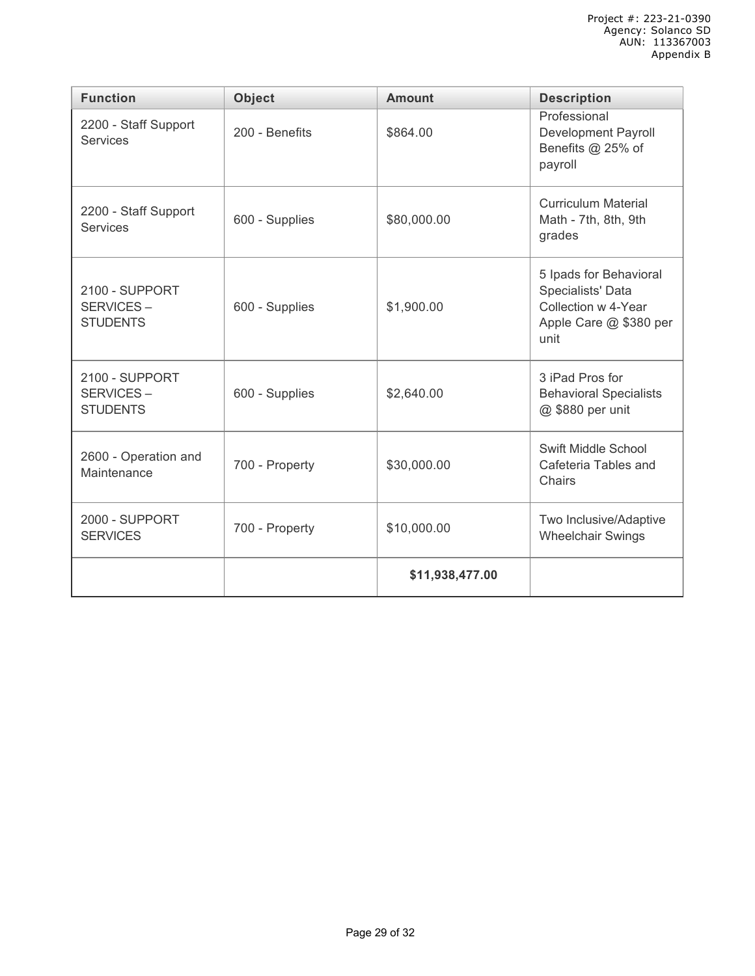| <b>Function</b>                                | <b>Object</b>  | <b>Amount</b>   | <b>Description</b>                                                                                   |  |
|------------------------------------------------|----------------|-----------------|------------------------------------------------------------------------------------------------------|--|
| 2200 - Staff Support<br><b>Services</b>        | 200 - Benefits | \$864.00        | Professional<br><b>Development Payroll</b><br>Benefits @ 25% of<br>payroll                           |  |
| 2200 - Staff Support<br><b>Services</b>        | 600 - Supplies | \$80,000.00     | <b>Curriculum Material</b><br>Math - 7th, 8th, 9th<br>grades                                         |  |
| 2100 - SUPPORT<br>SERVICES-<br><b>STUDENTS</b> | 600 - Supplies | \$1,900.00      | 5 Ipads for Behavioral<br>Specialists' Data<br>Collection w 4-Year<br>Apple Care @ \$380 per<br>unit |  |
| 2100 - SUPPORT<br>SERVICES-<br><b>STUDENTS</b> | 600 - Supplies | \$2,640.00      | 3 iPad Pros for<br><b>Behavioral Specialists</b><br>@ \$880 per unit                                 |  |
| 2600 - Operation and<br>Maintenance            | 700 - Property | \$30,000.00     | Swift Middle School<br>Cafeteria Tables and<br>Chairs                                                |  |
| 2000 - SUPPORT<br><b>SERVICES</b>              | 700 - Property | \$10,000.00     | Two Inclusive/Adaptive<br><b>Wheelchair Swings</b>                                                   |  |
|                                                |                | \$11,938,477.00 |                                                                                                      |  |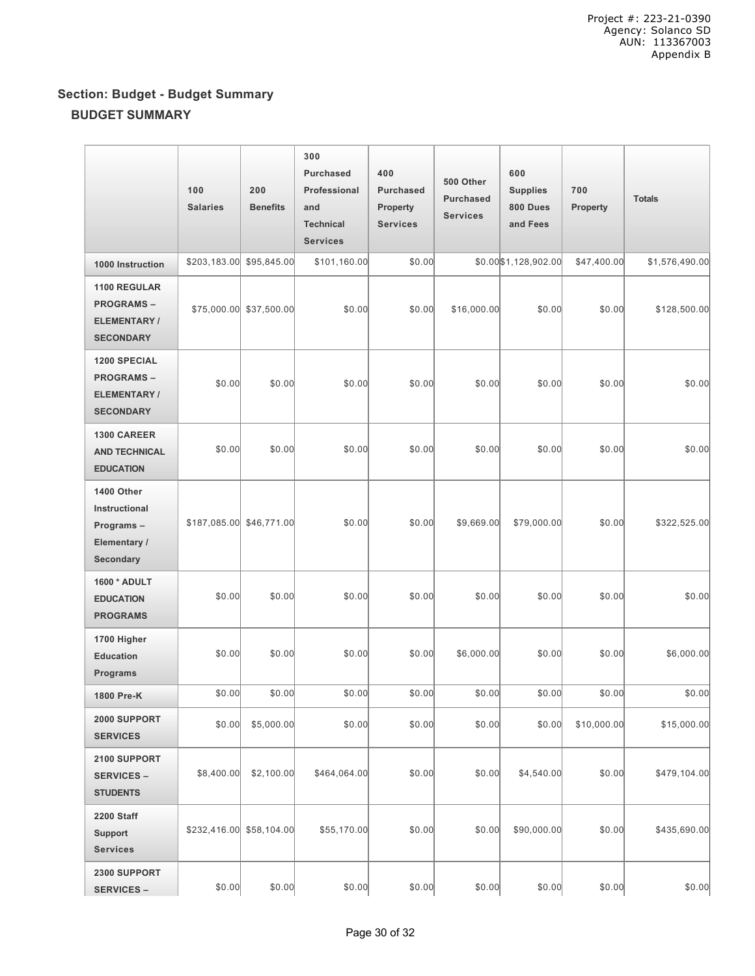# **Section: Budget - Budget Summary BUDGET SUMMARY**

|                                                                              | 100<br><b>Salaries</b> | 200<br><b>Benefits</b>   | 300<br><b>Purchased</b><br><b>Professional</b><br>and<br><b>Technical</b><br><b>Services</b> | 400<br><b>Purchased</b><br>Property<br><b>Services</b> | 500 Other<br><b>Purchased</b><br><b>Services</b> | 600<br><b>Supplies</b><br>800 Dues<br>and Fees | 700<br>Property | <b>Totals</b>  |
|------------------------------------------------------------------------------|------------------------|--------------------------|----------------------------------------------------------------------------------------------|--------------------------------------------------------|--------------------------------------------------|------------------------------------------------|-----------------|----------------|
| 1000 Instruction                                                             | \$203,183.00           | \$95,845.00              | \$101,160.00                                                                                 | \$0.00                                                 |                                                  | \$0.00 \$1,128,902.00                          | \$47,400.00     | \$1,576,490.00 |
| 1100 REGULAR<br><b>PROGRAMS-</b><br><b>ELEMENTARY/</b><br><b>SECONDARY</b>   | \$75,000.00            | \$37,500.00              | \$0.00                                                                                       | \$0.00                                                 | \$16,000.00                                      | \$0.00                                         | \$0.00          | \$128,500.00   |
| 1200 SPECIAL<br><b>PROGRAMS-</b><br><b>ELEMENTARY/</b><br><b>SECONDARY</b>   | \$0.00                 | \$0.00                   | \$0.00                                                                                       | \$0.00                                                 | \$0.00                                           | \$0.00                                         | \$0.00          | \$0.00         |
| 1300 CAREER<br><b>AND TECHNICAL</b><br><b>EDUCATION</b>                      | \$0.00                 | \$0.00                   | \$0.00                                                                                       | \$0.00                                                 | \$0.00                                           | \$0.00                                         | \$0.00          | \$0.00         |
| 1400 Other<br>Instructional<br>Programs-<br>Elementary /<br><b>Secondary</b> | \$187,085.00           | \$46,771.00              | \$0.00                                                                                       | \$0.00                                                 | \$9,669.00                                       | \$79,000.00                                    | \$0.00          | \$322,525.00   |
| 1600 * ADULT<br><b>EDUCATION</b><br><b>PROGRAMS</b>                          | \$0.00                 | \$0.00                   | \$0.00                                                                                       | \$0.00                                                 | \$0.00                                           | \$0.00                                         | \$0.00          | \$0.00         |
| 1700 Higher<br><b>Education</b><br><b>Programs</b>                           | \$0.00                 | \$0.00                   | \$0.00                                                                                       | \$0.00                                                 | \$6,000.00                                       | \$0.00                                         | \$0.00          | \$6,000.00     |
| 1800 Pre-K                                                                   | \$0.00                 | \$0.00                   | \$0.00                                                                                       | \$0.00                                                 | \$0.00                                           | \$0.00                                         | \$0.00          | \$0.00         |
| 2000 SUPPORT<br><b>SERVICES</b>                                              | \$0.00                 | \$5,000.00               | \$0.00                                                                                       | \$0.00                                                 | \$0.00                                           | \$0.00                                         | \$10,000.00     | \$15,000.00    |
| 2100 SUPPORT<br><b>SERVICES -</b><br><b>STUDENTS</b>                         | \$8,400.00             | \$2,100.00               | \$464,064.00                                                                                 | \$0.00                                                 | \$0.00                                           | \$4,540.00                                     | \$0.00          | \$479,104.00   |
| <b>2200 Staff</b><br>Support<br><b>Services</b>                              |                        | \$232,416.00 \$58,104.00 | \$55,170.00                                                                                  | \$0.00                                                 | \$0.00                                           | \$90,000.00                                    | \$0.00          | \$435,690.00   |
| 2300 SUPPORT<br><b>SERVICES -</b>                                            | \$0.00                 | \$0.00                   | \$0.00                                                                                       | \$0.00                                                 | \$0.00                                           | \$0.00                                         | \$0.00          | \$0.00         |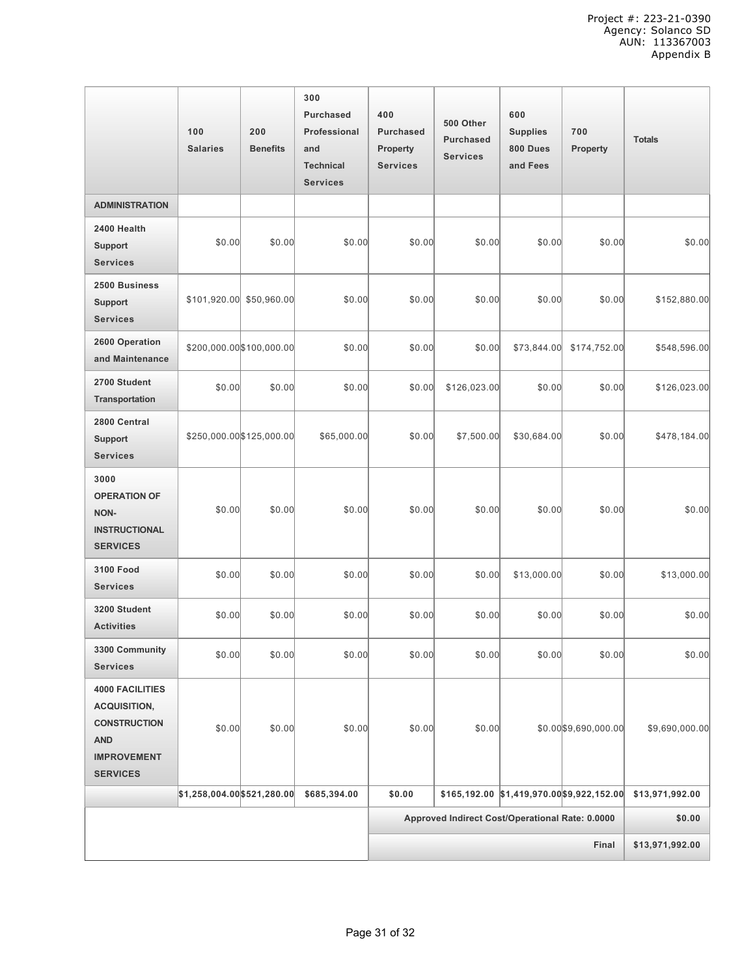|                                                                                                                             | 100<br><b>Salaries</b>      | 200<br><b>Benefits</b>    | 300<br><b>Purchased</b><br>Professional<br>and<br><b>Technical</b><br><b>Services</b> | 400<br><b>Purchased</b><br><b>Property</b><br><b>Services</b> | 500 Other<br><b>Purchased</b><br><b>Services</b> | 600<br><b>Supplies</b><br>800 Dues<br>and Fees  | 700<br>Property       | <b>Totals</b>   |
|-----------------------------------------------------------------------------------------------------------------------------|-----------------------------|---------------------------|---------------------------------------------------------------------------------------|---------------------------------------------------------------|--------------------------------------------------|-------------------------------------------------|-----------------------|-----------------|
| <b>ADMINISTRATION</b>                                                                                                       |                             |                           |                                                                                       |                                                               |                                                  |                                                 |                       |                 |
| 2400 Health<br>Support<br><b>Services</b>                                                                                   | \$0.00                      | \$0.00                    | \$0.00                                                                                | \$0.00                                                        | \$0.00                                           | \$0.00                                          | \$0.00                | \$0.00          |
| 2500 Business<br><b>Support</b><br><b>Services</b>                                                                          | \$101,920.00                | \$50,960.00               | \$0.00                                                                                | \$0.00                                                        | \$0.00                                           | \$0.00                                          | \$0.00                | \$152,880.00    |
| 2600 Operation<br>and Maintenance                                                                                           |                             | \$200,000.00 \$100,000.00 | \$0.00                                                                                | \$0.00                                                        | \$0.00                                           | \$73,844.00                                     | \$174,752.00          | \$548,596.00    |
| 2700 Student<br>Transportation                                                                                              | \$0.00                      | \$0.00                    | \$0.00                                                                                | \$0.00                                                        | \$126,023.00                                     | \$0.00                                          | \$0.00                | \$126,023.00    |
| 2800 Central<br>Support<br><b>Services</b>                                                                                  |                             | \$250,000.00 \$125,000.00 | \$65,000.00                                                                           | \$0.00                                                        | \$7,500.00                                       | \$30,684.00                                     | \$0.00                | \$478,184.00    |
| 3000<br><b>OPERATION OF</b><br>NON-<br><b>INSTRUCTIONAL</b><br><b>SERVICES</b>                                              | \$0.00                      | \$0.00                    | \$0.00                                                                                | \$0.00                                                        | \$0.00                                           | \$0.00                                          | \$0.00                | \$0.00          |
| <b>3100 Food</b><br><b>Services</b>                                                                                         | \$0.00                      | \$0.00                    | \$0.00                                                                                | \$0.00                                                        | \$0.00                                           | \$13,000.00                                     | \$0.00                | \$13,000.00     |
| 3200 Student<br><b>Activities</b>                                                                                           | \$0.00                      | \$0.00                    | \$0.00                                                                                | \$0.00                                                        | \$0.00                                           | \$0.00                                          | \$0.00                | \$0.00          |
| 3300 Community<br><b>Services</b>                                                                                           | \$0.00                      | \$0.00                    | \$0.00                                                                                | \$0.00                                                        | \$0.00                                           | \$0.00                                          | \$0.00                | \$0.00          |
| <b>4000 FACILITIES</b><br><b>ACQUISITION,</b><br><b>CONSTRUCTION</b><br><b>AND</b><br><b>IMPROVEMENT</b><br><b>SERVICES</b> | \$0.00                      | \$0.00                    | \$0.00                                                                                | \$0.00                                                        | \$0.00                                           |                                                 | \$0.00 \$9,690,000.00 | \$9,690,000.00  |
|                                                                                                                             | \$1,258,004.00 \$521,280.00 |                           | \$685,394.00                                                                          | \$0.00                                                        |                                                  | $$165, 192.00$ $$1, 419, 970.00$ \$9,922,152.00 |                       | \$13,971,992.00 |
|                                                                                                                             |                             |                           |                                                                                       | Approved Indirect Cost/Operational Rate: 0.0000               |                                                  |                                                 |                       | \$0.00          |
|                                                                                                                             |                             |                           |                                                                                       | Final                                                         |                                                  |                                                 |                       | \$13,971,992.00 |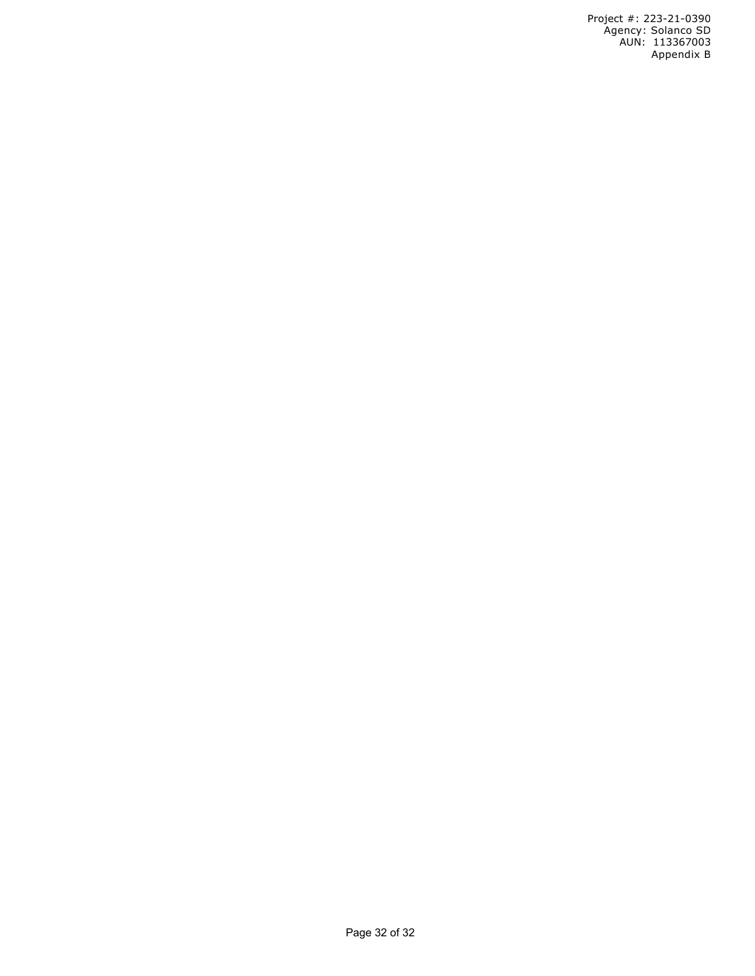Project #: 223-21-0390 Agency: Solanco SD AUN: 113367003 Appendix B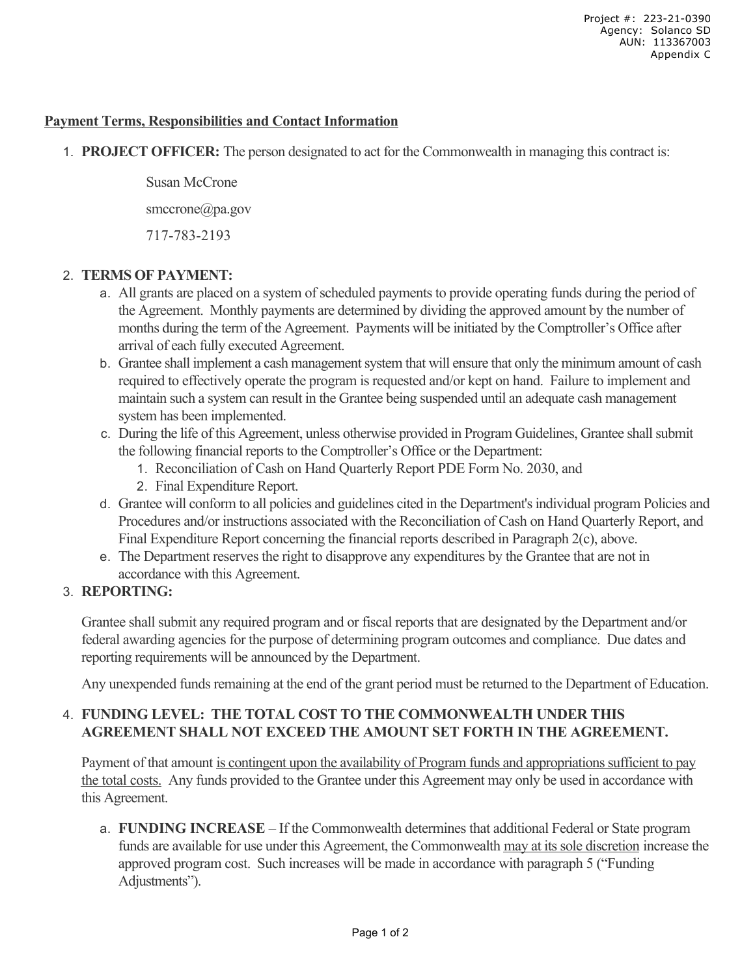## **Payment Terms, Responsibilities and Contact Information**

1. **PROJECT OFFICER:** The person designated to act for the Commonwealth in managing this contract is:

Susan McCrone smccrone@pa.gov

717-783-2193

## 2. **TERMS OF PAYMENT:**

- a. All grants are placed on a system of scheduled payments to provide operating funds during the period of the Agreement. Monthly payments are determined by dividing the approved amount by the number of months during the term of the Agreement. Payments will be initiated by the Comptroller's Office after arrival of each fully executed Agreement.
- b. Grantee shall implement a cash management system that will ensure that only the minimum amount of cash required to effectively operate the program is requested and/or kept on hand. Failure to implement and maintain such a system can result in the Grantee being suspended until an adequate cash management system has been implemented.
- c. During the life of this Agreement, unless otherwise provided in Program Guidelines, Grantee shall submit the following financial reports to the Comptroller's Office or the Department:
	- 1. Reconciliation of Cash on Hand Quarterly Report PDE Form No. 2030, and
	- 2. Final Expenditure Report.
- d. Grantee will conform to all policies and guidelines cited in the Department's individual program Policies and Procedures and/or instructions associated with the Reconciliation of Cash on Hand Quarterly Report, and Final Expenditure Report concerning the financial reports described in Paragraph 2(c), above.
- e. The Department reserves the right to disapprove any expenditures by the Grantee that are not in accordance with this Agreement.

## 3. **REPORTING:**

Grantee shall submit any required program and or fiscal reports that are designated by the Department and/or federal awarding agencies for the purpose of determining program outcomes and compliance. Due dates and reporting requirements will be announced by the Department.

Any unexpended funds remaining at the end of the grant period must be returned to the Department of Education.

# 4. **FUNDING LEVEL: THE TOTAL COST TO THE COMMONWEALTH UNDER THIS AGREEMENT SHALL NOT EXCEED THE AMOUNT SET FORTH IN THE AGREEMENT.**

Payment of that amount is contingent upon the availability of Program funds and appropriations sufficient to pay the total costs. Any funds provided to the Grantee under this Agreement may only be used in accordance with this Agreement.

a. **FUNDING INCREASE** – If the Commonwealth determines that additional Federal or State program funds are available for use under this Agreement, the Commonwealth may at its sole discretion increase the approved program cost. Such increases will be made in accordance with paragraph 5 ("Funding Adjustments").